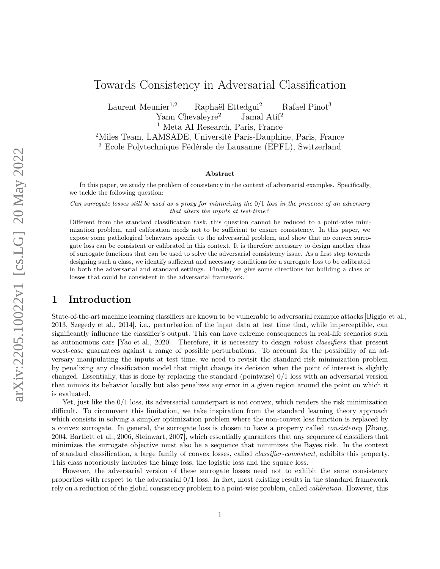# Towards Consistency in Adversarial Classification

Laurent Meunier<sup>1,2</sup> Raphaël Ettedgui<sup>2</sup> Rafael Pinot<sup>3</sup> Yann Chevaleyre<sup>2</sup> Jamal Atif<sup>2</sup> <sup>1</sup> Meta AI Research, Paris, France

<sup>2</sup>Miles Team, LAMSADE, Université Paris-Dauphine, Paris, France <sup>3</sup> Ecole Polytechnique Fédérale de Lausanne (EPFL), Switzerland

#### Abstract

In this paper, we study the problem of consistency in the context of adversarial examples. Specifically, we tackle the following question:

Can surrogate losses still be used as a proxy for minimizing the 0/1 loss in the presence of an adversary that alters the inputs at test-time?

Different from the standard classification task, this question cannot be reduced to a point-wise minimization problem, and calibration needs not to be sufficient to ensure consistency. In this paper, we expose some pathological behaviors specific to the adversarial problem, and show that no convex surrogate loss can be consistent or calibrated in this context. It is therefore necessary to design another class of surrogate functions that can be used to solve the adversarial consistency issue. As a first step towards designing such a class, we identify sufficient and necessary conditions for a surrogate loss to be calibrated in both the adversarial and standard settings. Finally, we give some directions for building a class of losses that could be consistent in the adversarial framework.

## 1 Introduction

State-of-the-art machine learning classifiers are known to be vulnerable to adversarial example attacks [Biggio et al., 2013, Szegedy et al., 2014], i.e., perturbation of the input data at test time that, while imperceptible, can significantly influence the classifier's output. This can have extreme consequences in real-life scenarios such as autonomous cars [Yao et al., 2020]. Therefore, it is necessary to design robust classifiers that present worst-case guarantees against a range of possible perturbations. To account for the possibility of an adversary manipulating the inputs at test time, we need to revisit the standard risk minimization problem by penalizing any classification model that might change its decision when the point of interest is slightly changed. Essentially, this is done by replacing the standard (pointwise) 0/1 loss with an adversarial version that mimics its behavior locally but also penalizes any error in a given region around the point on which it is evaluated.

Yet, just like the  $0/1$  loss, its adversarial counterpart is not convex, which renders the risk minimization difficult. To circumvent this limitation, we take inspiration from the standard learning theory approach which consists in solving a simpler optimization problem where the non-convex loss function is replaced by a convex surrogate. In general, the surrogate loss is chosen to have a property called consistency [Zhang, 2004, Bartlett et al., 2006, Steinwart, 2007], which essentially guarantees that any sequence of classifiers that minimizes the surrogate objective must also be a sequence that minimizes the Bayes risk. In the context of standard classification, a large family of convex losses, called classifier-consistent, exhibits this property. This class notoriously includes the hinge loss, the logistic loss and the square loss.

However, the adversarial version of these surrogate losses need not to exhibit the same consistency properties with respect to the adversarial 0/1 loss. In fact, most existing results in the standard framework rely on a reduction of the global consistency problem to a point-wise problem, called *calibration*. However, this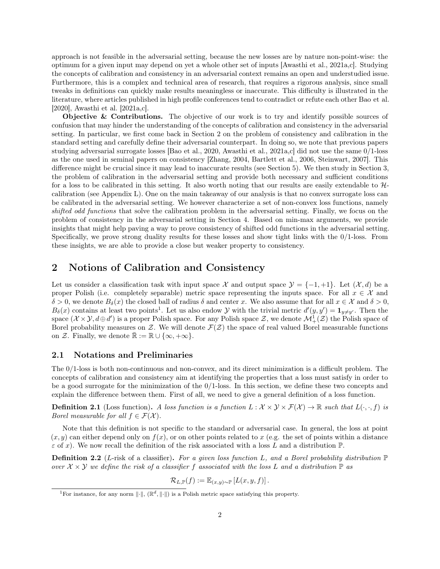approach is not feasible in the adversarial setting, because the new losses are by nature non-point-wise: the optimum for a given input may depend on yet a whole other set of inputs [Awasthi et al., 2021a,c]. Studying the concepts of calibration and consistency in an adversarial context remains an open and understudied issue. Furthermore, this is a complex and technical area of research, that requires a rigorous analysis, since small tweaks in definitions can quickly make results meaningless or inaccurate. This difficulty is illustrated in the literature, where articles published in high profile conferences tend to contradict or refute each other Bao et al. [2020], Awasthi et al. [2021a,c].

Objective & Contributions. The objective of our work is to try and identify possible sources of confusion that may hinder the understanding of the concepts of calibration and consistency in the adversarial setting. In particular, we first come back in Section 2 on the problem of consistency and calibration in the standard setting and carefully define their adversarial counterpart. In doing so, we note that previous papers studying adversarial surrogate losses [Bao et al., 2020, Awasthi et al., 2021a,c] did not use the same 0/1-loss as the one used in seminal papers on consistency [Zhang, 2004, Bartlett et al., 2006, Steinwart, 2007]. This difference might be crucial since it may lead to inaccurate results (see Section 5). We then study in Section 3, the problem of calibration in the adversarial setting and provide both necessary and sufficient conditions for a loss to be calibrated in this setting. It also worth noting that our results are easily extendable to  $H$ calibration (see Appendix L). One on the main takeaway of our analysis is that no convex surrogate loss can be calibrated in the adversarial setting. We however characterize a set of non-convex loss functions, namely shifted odd functions that solve the calibration problem in the adversarial setting. Finally, we focus on the problem of consistency in the adversarial setting in Section 4. Based on min-max arguments, we provide insights that might help paving a way to prove consistency of shifted odd functions in the adversarial setting. Specifically, we prove strong duality results for these losses and show tight links with the 0/1-loss. From these insights, we are able to provide a close but weaker property to consistency.

### 2 Notions of Calibration and Consistency

Let us consider a classification task with input space  $\mathcal{X}$  and output space  $\mathcal{Y} = \{-1, +1\}$ . Let  $(\mathcal{X}, d)$  be a proper Polish (i.e. completely separable) metric space representing the inputs space. For all  $x \in \mathcal{X}$  and  $\delta > 0$ , we denote  $B_{\delta}(x)$  the closed ball of radius  $\delta$  and center x. We also assume that for all  $x \in \mathcal{X}$  and  $\delta > 0$ ,  $B_\delta(x)$  contains at least two points<sup>1</sup>. Let us also endow Y with the trivial metric  $d'(y, y') = \mathbf{1}_{y \neq y'}$ . Then the space  $(\mathcal{X} \times \mathcal{Y}, d \oplus d')$  is a proper Polish space. For any Polish space  $\mathcal{Z}$ , we denote  $\mathcal{M}^1_+(\mathcal{Z})$  the Polish space of Borel probability measures on  $\mathcal Z$ . We will denote  $\mathcal F(\mathcal Z)$  the space of real valued Borel measurable functions on Z. Finally, we denote  $\mathbb{R} := \mathbb{R} \cup \{\infty, +\infty\}.$ 

#### 2.1 Notations and Preliminaries

The 0/1-loss is both non-continuous and non-convex, and its direct minimization is a difficult problem. The concepts of calibration and consistency aim at identifying the properties that a loss must satisfy in order to be a good surrogate for the minimization of the  $0/1$ -loss. In this section, we define these two concepts and explain the difference between them. First of all, we need to give a general definition of a loss function.

**Definition 2.1** (Loss function). A loss function is a function  $L : \mathcal{X} \times \mathcal{Y} \times \mathcal{F}(\mathcal{X}) \to \mathbb{R}$  such that  $L(\cdot, \cdot, f)$  is Borel measurable for all  $f \in \mathcal{F}(\mathcal{X})$ .

Note that this definition is not specific to the standard or adversarial case. In general, the loss at point  $(x, y)$  can either depend only on  $f(x)$ , or on other points related to x (e.g. the set of points within a distance  $\varepsilon$  of x). We now recall the definition of the risk associated with a loss L and a distribution  $\mathbb{P}$ .

**Definition 2.2** (L-risk of a classifier). For a given loss function L, and a Borel probability distribution  $\mathbb{P}$ over  $X \times Y$  we define the risk of a classifier f associated with the loss L and a distribution  $\mathbb{P}$  as

$$
\mathcal{R}_{L,\mathbb{P}}(f) := \mathbb{E}_{(x,y)\sim \mathbb{P}}\left[L(x,y,f)\right].
$$

<sup>&</sup>lt;sup>1</sup>For instance, for any norm  $\|\cdot\|$ ,  $(\mathbb{R}^d, \|\cdot\|)$  is a Polish metric space satisfying this property.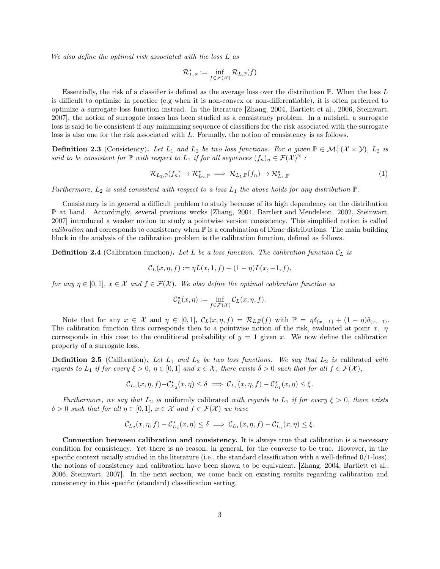We also define the optimal risk associated with the loss L as

$$
\mathcal{R}_{L,\mathbb{P}}^{\star}:=\inf_{f\in\mathcal{F}(\mathcal{X})}\mathcal{R}_{L,\mathbb{P}}(f)
$$

Essentially, the risk of a classifier is defined as the average loss over the distribution P. When the loss L is difficult to optimize in practice (e.g when it is non-convex or non-differentiable), it is often preferred to optimize a surrogate loss function instead. In the literature [Zhang, 2004, Bartlett et al., 2006, Steinwart, 2007], the notion of surrogate losses has been studied as a consistency problem. In a nutshell, a surrogate loss is said to be consistent if any minimizing sequence of classifiers for the risk associated with the surrogate loss is also one for the risk associated with L. Formally, the notion of consistency is as follows.

**Definition 2.3** (Consistency). Let  $L_1$  and  $L_2$  be two loss functions. For a given  $\mathbb{P} \in \mathcal{M}_1^+(\mathcal{X} \times \mathcal{Y})$ ,  $L_2$  is said to be consistent for  $\mathbb P$  with respect to  $L_1$  if for all sequences  $(f_n)_n \in \mathcal F(\mathcal X)^{\mathbb N}$  :

$$
\mathcal{R}_{L_2,\mathbb{P}}(f_n) \to \mathcal{R}_{L_2,\mathbb{P}}^{\star} \implies \mathcal{R}_{L_1,\mathbb{P}}(f_n) \to \mathcal{R}_{L_1,\mathbb{P}}^{\star} \tag{1}
$$

Furthermore,  $L_2$  is said consistent with respect to a loss  $L_1$  the above holds for any distribution  $\mathbb{P}$ .

Consistency is in general a difficult problem to study because of its high dependency on the distribution P at hand. Accordingly, several previous works [Zhang, 2004, Bartlett and Mendelson, 2002, Steinwart, 2007] introduced a weaker notion to study a pointwise version consistency. This simplified notion is called *calibration* and corresponds to consistency when  $\mathbb P$  is a combination of Dirac distributions. The main building block in the analysis of the calibration problem is the calibration function, defined as follows.

**Definition 2.4** (Calibration function). Let L be a loss function. The calibration function  $C_L$  is

$$
\mathcal{C}_L(x, \eta, f) := \eta L(x, 1, f) + (1 - \eta) L(x, -1, f),
$$

for any  $\eta \in [0,1], x \in \mathcal{X}$  and  $f \in \mathcal{F}(\mathcal{X})$ . We also define the optimal calibration function as

$$
\mathcal{C}_L^{\star}(x,\eta):=\inf_{f\in\mathcal{F}(\mathcal{X})}\mathcal{C}_L(x,\eta,f).
$$

Note that for any  $x \in \mathcal{X}$  and  $\eta \in [0,1], C_L(x, \eta, f) = \mathcal{R}_{L,\mathbb{P}}(f)$  with  $\mathbb{P} = \eta \delta_{(x,+1)} + (1 - \eta) \delta_{(x,-1)}$ . The calibration function thus corresponds then to a pointwise notion of the risk, evaluated at point x.  $\eta$ corresponds in this case to the conditional probability of  $y = 1$  given x. We now define the calibration property of a surrogate loss.

**Definition 2.5** (Calibration). Let  $L_1$  and  $L_2$  be two loss functions. We say that  $L_2$  is calibrated with regards to  $L_1$  if for every  $\xi > 0$ ,  $\eta \in [0,1]$  and  $x \in \mathcal{X}$ , there exists  $\delta > 0$  such that for all  $f \in \mathcal{F}(\mathcal{X})$ ,

$$
\mathcal{C}_{L_2}(x,\eta,f)-\mathcal{C}_{L_2}^{\star}(x,\eta)\leq\delta\implies\mathcal{C}_{L_1}(x,\eta,f)-\mathcal{C}_{L_1}^{\star}(x,\eta)\leq\xi.
$$

Furthermore, we say that  $L_2$  is uniformly calibrated with regards to  $L_1$  if for every  $\xi > 0$ , there exists  $\delta > 0$  such that for all  $\eta \in [0,1], x \in \mathcal{X}$  and  $f \in \mathcal{F}(\mathcal{X})$  we have

$$
\mathcal{C}_{L_2}(x,\eta,f)-\mathcal{C}_{L_2}^{\star}(x,\eta)\leq\delta\implies\mathcal{C}_{L_1}(x,\eta,f)-\mathcal{C}_{L_1}^{\star}(x,\eta)\leq\xi.
$$

Connection between calibration and consistency. It is always true that calibration is a necessary condition for consistency. Yet there is no reason, in general, for the converse to be true. However, in the specific context usually studied in the literature (i.e., the standard classification with a well-defined 0/1-loss), the notions of consistency and calibration have been shown to be equivalent. [Zhang, 2004, Bartlett et al., 2006, Steinwart, 2007]. In the next section, we come back on existing results regarding calibration and consistency in this specific (standard) classification setting.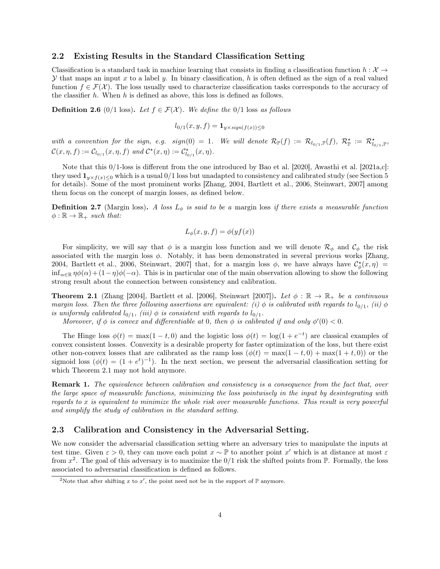#### 2.2 Existing Results in the Standard Classification Setting

Classification is a standard task in machine learning that consists in finding a classification function  $h : \mathcal{X} \to$  $\mathcal Y$  that maps an input x to a label y. In binary classification, h is often defined as the sign of a real valued function  $f \in \mathcal{F}(\mathcal{X})$ . The loss usually used to characterize classification tasks corresponds to the accuracy of the classifier  $h$ . When  $h$  is defined as above, this loss is defined as follows.

**Definition 2.6** (0/1 loss). Let  $f \in \mathcal{F}(\mathcal{X})$ . We define the 0/1 loss as follows

$$
l_{0/1}(x, y, f) = \mathbf{1}_{y \times sign(f(x)) \le 0}
$$

with a convention for the sign, e.g.  $sign(0) = 1$ . We will denote  $\mathcal{R}_{\mathbb{P}}(f) := \mathcal{R}_{l_{0/1},\mathbb{P}}(f)$ ,  $\mathcal{R}_{\mathbb{P}}^{\star} := \mathcal{R}_{l_{0/1},\mathbb{P}}^{\star}$  $\mathcal{C}(x, \eta, f) := \mathcal{C}_{l_{0/1}}(x, \eta, f) \text{ and } \mathcal{C}^{\star}(x, \eta) := \mathcal{C}^{\star}_{l_{0/1}}(x, \eta).$ 

Note that this 0/1-loss is different from the one introduced by Bao et al. [2020], Awasthi et al. [2021a,c]: they used  $\mathbf{1}_{y\times f(x)<0}$  which is a usual  $0/1$  loss but unadapted to consistency and calibrated study (see Section 5 for details). Some of the most prominent works [Zhang, 2004, Bartlett et al., 2006, Steinwart, 2007] among them focus on the concept of margin losses, as defined below.

**Definition 2.7** (Margin loss). A loss  $L_{\phi}$  is said to be a margin loss if there exists a measurable function  $\phi : \mathbb{R} \to \mathbb{R}_+$  such that:

$$
L_{\phi}(x, y, f) = \phi(yf(x))
$$

For simplicity, we will say that  $\phi$  is a margin loss function and we will denote  $\mathcal{R}_{\phi}$  and  $\mathcal{C}_{\phi}$  the risk associated with the margin loss  $\phi$ . Notably, it has been demonstrated in several previous works [Zhang, 2004, Bartlett et al., 2006, Steinwart, 2007] that, for a margin loss  $\phi$ , we have always have  $\mathcal{C}^*_{\phi}(x,\eta)$  $\inf_{\alpha \in \mathbb{R}} \eta \phi(\alpha) + (1 - \eta) \phi(-\alpha)$ . This is in particular one of the main observation allowing to show the following strong result about the connection between consistency and calibration.

**Theorem 2.1** (Zhang [2004], Bartlett et al. [2006], Steinwart [2007]). Let  $\phi : \mathbb{R} \to \mathbb{R}_+$  be a continuous margin loss. Then the three following assertions are equivalent: (i)  $\phi$  is calibrated with regards to  $l_{0/1}$ , (ii)  $\phi$ is uniformly calibrated  $l_{0/1}$ , (iii)  $\phi$  is consistent with regards to  $l_{0/1}$ .

Moreover, if  $\phi$  is convex and differentiable at 0, then  $\phi$  is calibrated if and only  $\phi'(0) < 0$ .

The Hinge loss  $\phi(t) = \max(1-t, 0)$  and the logistic loss  $\phi(t) = \log(1+e^{-t})$  are classical examples of convex consistent losses. Convexity is a desirable property for faster optimization of the loss, but there exist other non-convex losses that are calibrated as the ramp loss  $(\phi(t) = \max(1 - t, 0) + \max(1 + t, 0))$  or the sigmoid loss  $(\phi(t) = (1 + e^t)^{-1})$ . In the next section, we present the adversarial classification setting for which Theorem 2.1 may not hold anymore.

**Remark 1.** The equivalence between calibration and consistency is a consequence from the fact that, over the large space of measurable functions, minimizing the loss pointwisely in the input by desintegrating with regards to x is equivalent to minimize the whole risk over measurable functions. This result is very powerful and simplify the study of calibration in the standard setting.

#### 2.3 Calibration and Consistency in the Adversarial Setting.

We now consider the adversarial classification setting where an adversary tries to manipulate the inputs at test time. Given  $\varepsilon > 0$ , they can move each point  $x \sim \mathbb{P}$  to another point x' which is at distance at most  $\varepsilon$ from  $x^2$ . The goal of this adversary is to maximize the  $0/1$  risk the shifted points from  $\mathbb P$ . Formally, the loss associated to adversarial classification is defined as follows.

<sup>&</sup>lt;sup>2</sup>Note that after shifting x to x', the point need not be in the support of  $\mathbb P$  anymore.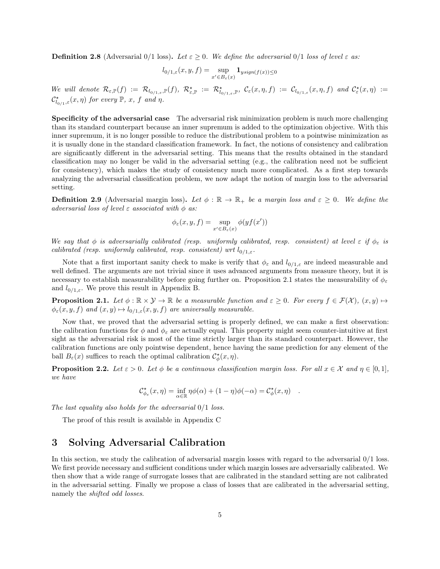**Definition 2.8** (Adversarial 0/1 loss). Let  $\varepsilon \ge 0$ . We define the adversarial 0/1 loss of level  $\varepsilon$  as:

$$
l_{0/1,\varepsilon}(x,y,f)=\sup_{x'\in B_{\varepsilon}(x)}\mathbf{1}_{ysign(f(x))\leq 0}
$$

We will denote  $\mathcal{R}_{\varepsilon,\mathbb{P}}(f) := \mathcal{R}_{l_{0/1,\varepsilon},\mathbb{P}}(f), \ \mathcal{R}_{\varepsilon,\mathbb{P}}^{\star} := \mathcal{R}_{l_{0/1,\varepsilon},\mathbb{P}}^{\star}, \ \mathcal{C}_{\varepsilon}(x,\eta,f) := \mathcal{C}_{l_{0/1,\varepsilon}}(x,\eta,f) \ \text{and} \ \mathcal{C}_{\varepsilon}^{\star}(x,\eta) :=$  $\mathcal{C}^\star_{l_{0/1},\varepsilon}(x,\eta)$  for every  $\mathbb{P}, x$ , f and  $\eta$ .

Specificity of the adversarial case The adversarial risk minimization problem is much more challenging than its standard counterpart because an inner supremum is added to the optimization objective. With this inner supremum, it is no longer possible to reduce the distributional problem to a pointwise minimization as it is usually done in the standard classification framework. In fact, the notions of consistency and calibration are significantly different in the adversarial setting. This means that the results obtained in the standard classification may no longer be valid in the adversarial setting (e.g., the calibration need not be sufficient for consistency), which makes the study of consistency much more complicated. As a first step towards analyzing the adversarial classification problem, we now adapt the notion of margin loss to the adversarial setting.

**Definition 2.9** (Adversarial margin loss). Let  $\phi : \mathbb{R} \to \mathbb{R}_+$  be a margin loss and  $\varepsilon \geq 0$ . We define the adversarial loss of level  $\varepsilon$  associated with  $\phi$  as:

$$
\phi_{\varepsilon}(x,y,f)=\sup_{x'\in B_{\varepsilon}(x)}\phi(yf(x'))
$$

We say that  $\phi$  is adversarially calibrated (resp. uniformly calibrated, resp. consistent) at level  $\varepsilon$  if  $\phi_{\varepsilon}$  is calibrated (resp. uniformly calibrated, resp. consistent) wrt  $l_{0/1,\varepsilon}$ .

Note that a first important sanity check to make is verify that  $\phi_{\varepsilon}$  and  $l_{0/1,\varepsilon}$  are indeed measurable and well defined. The arguments are not trivial since it uses advanced arguments from measure theory, but it is necessary to establish measurability before going further on. Proposition 2.1 states the measurability of  $\phi_{\varepsilon}$ and  $l_{0/1,\varepsilon}$ . We prove this result in Appendix B.

**Proposition 2.1.** Let  $\phi : \mathbb{R} \times \mathcal{Y} \to \mathbb{R}$  be a measurable function and  $\varepsilon \geq 0$ . For every  $f \in \mathcal{F}(\mathcal{X})$ ,  $(x, y) \mapsto$  $\phi_{\varepsilon}(x, y, f)$  and  $(x, y) \mapsto l_{0/1,\varepsilon}(x, y, f)$  are universally measurable.

Now that, we proved that the adversarial setting is properly defined, we can make a first observation: the calibration functions for  $\phi$  and  $\phi_{\varepsilon}$  are actually equal. This property might seem counter-intuitive at first sight as the adversarial risk is most of the time strictly larger than its standard counterpart. However, the calibration functions are only pointwise dependent, hence having the same prediction for any element of the ball  $B_{\varepsilon}(x)$  suffices to reach the optimal calibration  $\mathcal{C}_{\phi}^{\star}(x, \eta)$ .

**Proposition 2.2.** Let  $\varepsilon > 0$ . Let  $\phi$  be a continuous classification margin loss. For all  $x \in \mathcal{X}$  and  $\eta \in [0,1]$ , we have

$$
\mathcal{C}_{\phi_{\varepsilon}}^{\star}(x,\eta)=\inf_{\alpha\in\mathbb{R}}\eta\phi(\alpha)+(1-\eta)\phi(-\alpha)=\mathcal{C}_{\phi}^{\star}(x,\eta)\quad.
$$

The last equality also holds for the adversarial  $0/1$  loss.

The proof of this result is available in Appendix C

### 3 Solving Adversarial Calibration

In this section, we study the calibration of adversarial margin losses with regard to the adversarial 0/1 loss. We first provide necessary and sufficient conditions under which margin losses are adversarially calibrated. We then show that a wide range of surrogate losses that are calibrated in the standard setting are not calibrated in the adversarial setting. Finally we propose a class of losses that are calibrated in the adversarial setting, namely the shifted odd losses.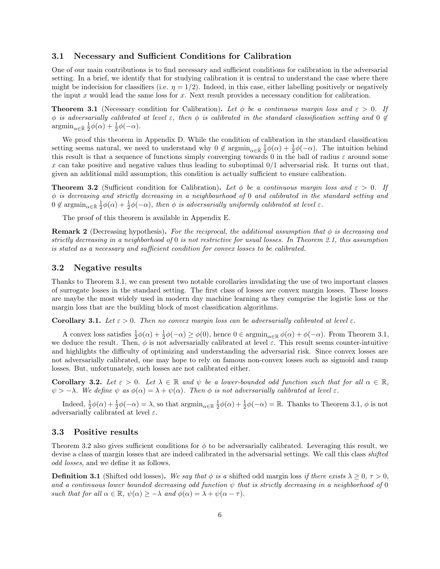#### 3.1 Necessary and Sufficient Conditions for Calibration

One of our main contributions is to find necessary and sufficient conditions for calibration in the adversarial setting. In a brief, we identify that for studying calibration it is central to understand the case where there might be indecision for classifiers (i.e.  $\eta = 1/2$ ). Indeed, in this case, either labelling positively or negatively the input x would lead the same loss for  $x$ . Next result provides a necessary condition for calibration.

**Theorem 3.1** (Necessary condition for Calibration). Let  $\phi$  be a continuous margin loss and  $\varepsilon > 0$ . If φ is adversarially calibrated at level  $\varepsilon$ , then  $\phi$  is calibrated in the standard classification setting and 0  $\notin$  $\operatorname{argmin}_{\alpha \in \bar{\mathbb{R}}} \frac{1}{2} \phi(\alpha) + \frac{1}{2} \phi(-\alpha).$ 

We proof this theorem in Appendix D. While the condition of calibration in the standard classification setting seems natural, we need to understand why  $0 \notin \operatorname{argmin}_{\alpha \in \bar{\mathbb{R}}} \frac{1}{2}\phi(\alpha) + \frac{1}{2}\phi(-\alpha)$ . The intuition behind this result is that a sequence of functions simply converging towards 0 in the ball of radius  $\varepsilon$  around some x can take positive and negative values thus leading to suboptimal  $0/1$  adversarial risk. It turns out that, given an additional mild assumption, this condition is actually sufficient to ensure calibration.

**Theorem 3.2** (Sufficient condition for Calibration). Let  $\phi$  be a continuous margin loss and  $\varepsilon > 0$ . If  $\phi$  is decreasing and strictly decreasing in a neighbourhood of 0 and calibrated in the standard setting and  $0 \notin \operatorname{argmin}_{\alpha \in \overline{\mathbb{R}}} \frac{1}{2}\phi(\alpha) + \frac{1}{2}\phi(-\alpha)$ , then  $\phi$  is adversarially uniformly calibrated at level  $\varepsilon$ .

The proof of this theorem is available in Appendix E.

**Remark 2** (Decreasing hypothesis). For the reciprocal, the additional assumption that  $\phi$  is decreasing and strictly decreasing in a neighborhood of 0 is not restrictive for usual losses. In Theorem 2.1, this assumption is stated as a necessary and sufficient condition for convex losses to be calibrated.

#### 3.2 Negative results

Thanks to Theorem 3.1, we can present two notable corollaries invalidating the use of two important classes of surrogate losses in the standard setting. The first class of losses are convex margin losses. These losses are maybe the most widely used in modern day machine learning as they comprise the logistic loss or the margin loss that are the building block of most classification algorithms.

Corollary 3.1. Let  $\varepsilon > 0$ . Then no convex margin loss can be adversarially calibrated at level  $\varepsilon$ .

A convex loss satisfies  $\frac{1}{2}\phi(\alpha) + \frac{1}{2}\phi(-\alpha) \ge \phi(0)$ , hence  $0 \in \operatorname{argmin}_{\alpha \in \mathbb{R}} \phi(\alpha) + \phi(-\alpha)$ . From Theorem 3.1, we deduce the result. Then,  $\phi$  is not adversarially calibrated at level  $\varepsilon$ . This result seems counter-intuitive and highlights the difficulty of optimizing and understanding the adversarial risk. Since convex losses are not adversarially calibrated, one may hope to rely on famous non-convex losses such as sigmoid and ramp losses. But, unfortunately, such losses are not calibrated either.

**Corollary 3.2.** Let  $\varepsilon > 0$ . Let  $\lambda \in \mathbb{R}$  and  $\psi$  be a lower-bounded odd function such that for all  $\alpha \in \mathbb{R}$ ,  $\psi > -\lambda$ . We define  $\psi$  as  $\phi(\alpha) = \lambda + \psi(\alpha)$ . Then  $\phi$  is not adversarially calibrated at level  $\varepsilon$ .

Indeed,  $\frac{1}{2}\phi(\alpha) + \frac{1}{2}\phi(-\alpha) = \lambda$ , so that  $\operatorname{argmin}_{\alpha \in \mathbb{R}} \frac{1}{2}\phi(\alpha) + \frac{1}{2}\phi(-\alpha) = \mathbb{R}$ . Thanks to Theorem 3.1,  $\phi$  is not adversarially calibrated at level  $\varepsilon$ .

#### 3.3 Positive results

Theorem 3.2 also gives sufficient conditions for  $\phi$  to be adversarially calibrated. Leveraging this result, we devise a class of margin losses that are indeed calibrated in the adversarial settings. We call this class shifted odd losses, and we define it as follows.

**Definition 3.1** (Shifted odd losses). We say that  $\phi$  is a shifted odd margin loss if there exists  $\lambda \geq 0$ ,  $\tau > 0$ , and a continuous lower bounded decreasing odd function  $\psi$  that is strictly decreasing in a neighborhood of 0 such that for all  $\alpha \in \mathbb{R}$ ,  $\psi(\alpha) \geq -\lambda$  and  $\phi(\alpha) = \lambda + \psi(\alpha - \tau)$ .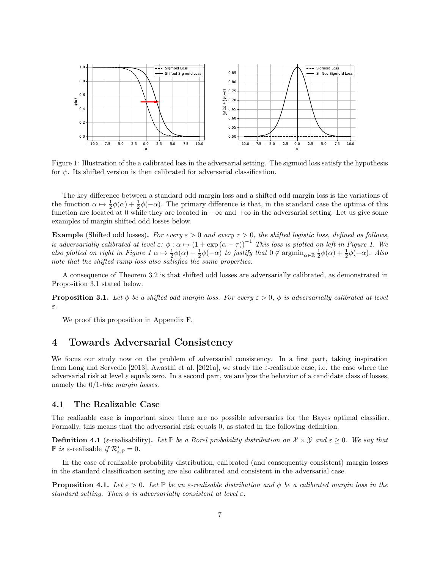

Figure 1: Illustration of the a calibrated loss in the adversarial setting. The sigmoid loss satisfy the hypothesis for  $\psi$ . Its shifted version is then calibrated for adversarial classification.

The key difference between a standard odd margin loss and a shifted odd margin loss is the variations of the function  $\alpha \mapsto \frac{1}{2}\phi(\alpha) + \frac{1}{2}\phi(-\alpha)$ . The primary difference is that, in the standard case the optima of this function are located at 0 while they are located in  $-\infty$  and  $+\infty$  in the adversarial setting. Let us give some examples of margin shifted odd losses below.

Example (Shifted odd losses). For every  $\varepsilon > 0$  and every  $\tau > 0$ , the shifted logistic loss, defined as follows, is adversarially calibrated at level  $\varepsilon: \phi: \alpha \mapsto (1 + \exp(\alpha - \tau))^{-1}$  This loss is plotted on left in Figure 1. We also plotted on right in Figure  $1 \alpha \mapsto \frac{1}{2}\phi(\alpha) + \frac{1}{2}\phi(-\alpha)$  to justify that  $0 \notin \operatorname{argmin}_{\alpha \in \bar{\mathbb{R}}} \frac{1}{2}\phi(\alpha) + \frac{1}{2}\phi(-\alpha)$ . Also note that the shifted ramp loss also satisfies the same properties.

A consequence of Theorem 3.2 is that shifted odd losses are adversarially calibrated, as demonstrated in Proposition 3.1 stated below.

**Proposition 3.1.** Let  $\phi$  be a shifted odd margin loss. For every  $\varepsilon > 0$ ,  $\phi$  is adversarially calibrated at level ε.

We proof this proposition in Appendix F.

### 4 Towards Adversarial Consistency

We focus our study now on the problem of adversarial consistency. In a first part, taking inspiration from Long and Servedio [2013], Awasthi et al. [2021a], we study the  $\varepsilon$ -realisable case, i.e. the case where the adversarial risk at level  $\varepsilon$  equals zero. In a second part, we analyze the behavior of a candidate class of losses, namely the  $0/1$ -like margin losses.

#### 4.1 The Realizable Case

The realizable case is important since there are no possible adversaries for the Bayes optimal classifier. Formally, this means that the adversarial risk equals 0, as stated in the following definition.

**Definition 4.1** (*ε*-realisability). Let  $\mathbb{P}$  be a Borel probability distribution on  $\mathcal{X} \times \mathcal{Y}$  and  $\varepsilon \geq 0$ . We say that  $\mathbb P$  is  $\varepsilon$ -realisable if  $\mathcal{R}_{\varepsilon,\mathbb{P}}^{\star}=0$ .

In the case of realizable probability distribution, calibrated (and consequently consistent) margin losses in the standard classification setting are also calibrated and consistent in the adversarial case.

**Proposition 4.1.** Let  $\varepsilon > 0$ . Let  $\mathbb{P}$  be an  $\varepsilon$ -realisable distribution and  $\phi$  be a calibrated margin loss in the standard setting. Then  $\phi$  is adversarially consistent at level  $\varepsilon$ .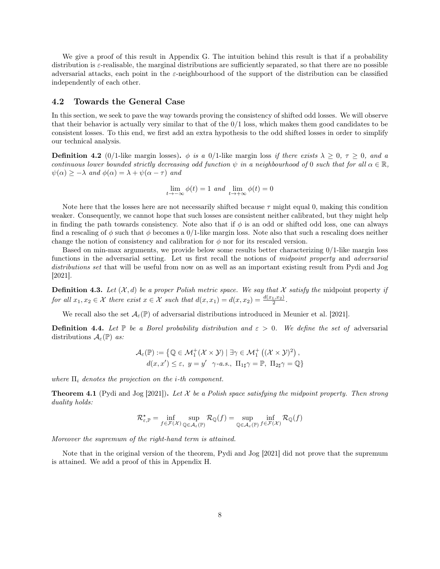We give a proof of this result in Appendix G. The intuition behind this result is that if a probability distribution is  $\varepsilon$ -realisable, the marginal distributions are sufficiently separated, so that there are no possible adversarial attacks, each point in the  $\varepsilon$ -neighbourhood of the support of the distribution can be classified independently of each other.

#### 4.2 Towards the General Case

In this section, we seek to pave the way towards proving the consistency of shifted odd losses. We will observe that their behavior is actually very similar to that of the  $0/1$  loss, which makes them good candidates to be consistent losses. To this end, we first add an extra hypothesis to the odd shifted losses in order to simplify our technical analysis.

**Definition 4.2** (0/1-like margin losses).  $\phi$  is a 0/1-like margin loss if there exists  $\lambda \geq 0$ ,  $\tau \geq 0$ , and a continuous lower bounded strictly decreasing odd function  $\psi$  in a neighbourhood of 0 such that for all  $\alpha \in \mathbb{R}$ ,  $\psi(\alpha) \geq -\lambda$  and  $\phi(\alpha) = \lambda + \psi(\alpha - \tau)$  and

$$
\lim_{t \to -\infty} \phi(t) = 1 \text{ and } \lim_{t \to +\infty} \phi(t) = 0
$$

Note here that the losses here are not necessarily shifted because  $\tau$  might equal 0, making this condition weaker. Consequently, we cannot hope that such losses are consistent neither calibrated, but they might help in finding the path towards consistency. Note also that if  $\phi$  is an odd or shifted odd loss, one can always find a rescaling of  $\phi$  such that  $\phi$  becomes a 0/1-like margin loss. Note also that such a rescaling does neither change the notion of consistency and calibration for  $\phi$  nor for its rescaled version.

Based on min-max arguments, we provide below some results better characterizing 0/1-like margin loss functions in the adversarial setting. Let us first recall the notions of *midpoint property* and *adversarial* distributions set that will be useful from now on as well as an important existing result from Pydi and Jog [2021].

**Definition 4.3.** Let  $(X, d)$  be a proper Polish metric space. We say that X satisfy the midpoint property if for all  $x_1, x_2 \in \mathcal{X}$  there exist  $x \in \mathcal{X}$  such that  $d(x, x_1) = d(x, x_2) = \frac{d(x_1, x_2)}{2}$ .

We recall also the set  $\mathcal{A}_{\varepsilon}(\mathbb{P})$  of adversarial distributions introduced in Meunier et al. [2021].

**Definition 4.4.** Let  $\mathbb P$  be a Borel probability distribution and  $\varepsilon > 0$ . We define the set of adversarial distributions  $\mathcal{A}_{\varepsilon}(\mathbb{P})$  as:

$$
\mathcal{A}_{\varepsilon}(\mathbb{P}) := \{ \mathbb{Q} \in \mathcal{M}_1^+(\mathcal{X} \times \mathcal{Y}) \mid \exists \gamma \in \mathcal{M}_1^+ ((\mathcal{X} \times \mathcal{Y})^2), d(x, x') \le \varepsilon, y = y' \gamma - a.s., \ \Pi_{1\sharp} \gamma = \mathbb{P}, \ \Pi_{2\sharp} \gamma = \mathbb{Q} \}
$$

where  $\Pi_i$  denotes the projection on the *i*-th component.

**Theorem 4.1** (Pydi and Jog [2021]). Let X be a Polish space satisfying the midpoint property. Then strong duality holds:

$$
\mathcal{R}_{\varepsilon,\mathbb{P}}^{\star} = \inf_{f \in \mathcal{F}(\mathcal{X})} \sup_{\mathbb{Q} \in \mathcal{A}_{\varepsilon}(\mathbb{P})} \mathcal{R}_{\mathbb{Q}}(f) = \sup_{\mathbb{Q} \in \mathcal{A}_{\varepsilon}(\mathbb{P})} \inf_{f \in \mathcal{F}(\mathcal{X})} \mathcal{R}_{\mathbb{Q}}(f)
$$

Moreover the supremum of the right-hand term is attained.

Note that in the original version of the theorem, Pydi and Jog [2021] did not prove that the supremum is attained. We add a proof of this in Appendix H.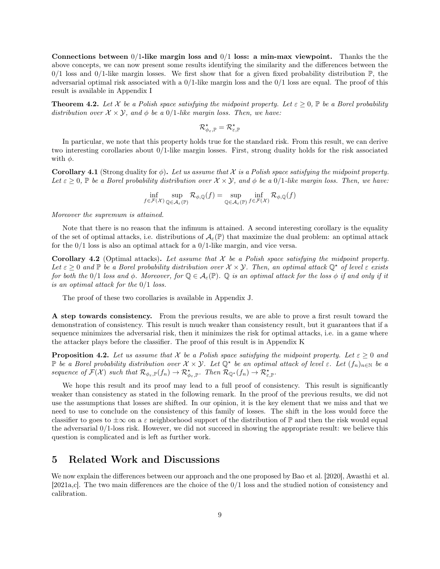Connections between  $0/1$ -like margin loss and  $0/1$  loss: a min-max viewpoint. Thanks the the above concepts, we can now present some results identifying the similarity and the differences between the  $0/1$  loss and  $0/1$ -like margin losses. We first show that for a given fixed probability distribution  $\mathbb{P}$ , the adversarial optimal risk associated with a  $0/1$ -like margin loss and the  $0/1$  loss are equal. The proof of this result is available in Appendix I

**Theorem 4.2.** Let X be a Polish space satisfying the midpoint property. Let  $\varepsilon \geq 0$ ,  $\mathbb{P}$  be a Borel probability distribution over  $\mathcal{X} \times \mathcal{Y}$ , and  $\phi$  be a 0/1-like margin loss. Then, we have:

$$
\mathcal{R}_{\phi_{\varepsilon},\mathbb{P}}^{\star}=\mathcal{R}_{\varepsilon,\mathbb{P}}^{\star}
$$

In particular, we note that this property holds true for the standard risk. From this result, we can derive two interesting corollaries about 0/1-like margin losses. First, strong duality holds for the risk associated with  $\phi$ .

**Corollary 4.1** (Strong duality for  $\phi$ ). Let us assume that X is a Polish space satisfying the midpoint property. Let  $\varepsilon \geq 0$ , P be a Borel probability distribution over  $\mathcal{X} \times \mathcal{Y}$ , and  $\phi$  be a  $0/1$ -like margin loss. Then, we have:

$$
\inf_{f \in \mathcal{F}(\mathcal{X})} \sup_{\mathbb{Q} \in \mathcal{A}_{\varepsilon}(\mathbb{P})} \mathcal{R}_{\phi, \mathbb{Q}}(f) = \sup_{\mathbb{Q} \in \mathcal{A}_{\varepsilon}(\mathbb{P})} \inf_{f \in \mathcal{F}(\mathcal{X})} \mathcal{R}_{\phi, \mathbb{Q}}(f)
$$

Moreover the supremum is attained.

Note that there is no reason that the infimum is attained. A second interesting corollary is the equality of the set of optimal attacks, i.e. distributions of  $\mathcal{A}_{\varepsilon}(\mathbb{P})$  that maximize the dual problem: an optimal attack for the  $0/1$  loss is also an optimal attack for a  $0/1$ -like margin, and vice versa.

**Corollary 4.2** (Optimal attacks). Let assume that  $X$  be a Polish space satisfying the midpoint property. Let  $\varepsilon > 0$  and  $\mathbb P$  be a Borel probability distribution over  $\mathcal X \times \mathcal Y$ . Then, an optimal attack  $\mathbb O^*$  of level  $\varepsilon$  exists for both the 0/1 loss and  $\phi$ . Moreover, for  $\mathbb{Q} \in A_{\varepsilon}(\mathbb{P})$ .  $\mathbb{Q}$  is an optimal attack for the loss  $\phi$  if and only if it is an optimal attack for the 0/1 loss.

The proof of these two corollaries is available in Appendix J.

A step towards consistency. From the previous results, we are able to prove a first result toward the demonstration of consistency. This result is much weaker than consistency result, but it guarantees that if a sequence minimizes the adversarial risk, then it minimizes the risk for optimal attacks, i.e. in a game where the attacker plays before the classifier. The proof of this result is in Appendix K

**Proposition 4.2.** Let us assume that X be a Polish space satisfying the midpoint property. Let  $\varepsilon \geq 0$  and P be a Borel probability distribution over  $\mathcal{X} \times \mathcal{Y}$ . Let  $\mathbb{Q}^*$  be an optimal attack of level  $\varepsilon$ . Let  $(f_n)_{n \in \mathbb{N}}$  be a sequence of  $\mathcal{F}(\mathcal{X})$  such that  $\mathcal{R}_{\phi_{\varepsilon}, \mathbb{P}}(f_n) \to \mathcal{R}_{\phi_{\varepsilon}, \mathbb{P}}^{\star}$ . Then  $\mathcal{R}_{\mathbb{Q}^{\star}}(f_n) \to \mathcal{R}_{\varepsilon, \mathbb{P}}^{\star}$ .

We hope this result and its proof may lead to a full proof of consistency. This result is significantly weaker than consistency as stated in the following remark. In the proof of the previous results, we did not use the assumptions that losses are shifted. In our opinion, it is the key element that we miss and that we need to use to conclude on the consistency of this family of losses. The shift in the loss would force the classifier to goes to  $\pm\infty$  on a  $\varepsilon$  neighborhood support of the distribution of  $\mathbb P$  and then the risk would equal the adversarial 0/1-loss risk. However, we did not succeed in showing the appropriate result: we believe this question is complicated and is left as further work.

# 5 Related Work and Discussions

We now explain the differences between our approach and the one proposed by Bao et al. [2020], Awasthi et al. [2021a,c]. The two main differences are the choice of the 0/1 loss and the studied notion of consistency and calibration.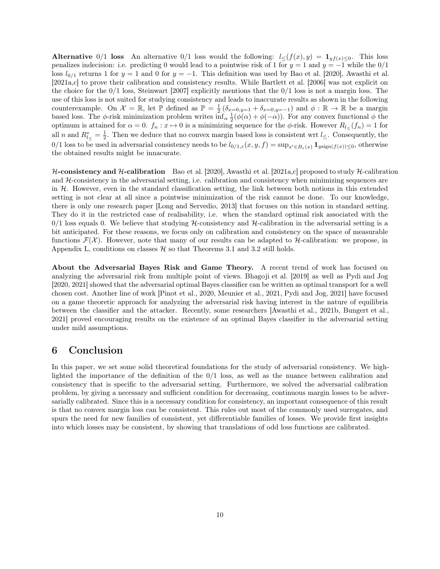Alternative 0/1 loss An alternative 0/1 loss would the following:  $l \leq (f(x), y) = \mathbf{1}_{y f(x) \leq 0}$ . This loss penalizes indecision: i.e. predicting 0 would lead to a pointwise risk of 1 for  $y = 1$  and  $y = -1$  while the 0/1 loss  $l_{0/1}$  returns 1 for  $y = 1$  and 0 for  $y = -1$ . This definition was used by Bao et al. [2020], Awasthi et al. [2021a,c] to prove their calibration and consistency results. While Bartlett et al. [2006] was not explicit on the choice for the 0/1 loss, Steinwart [2007] explicitly mentions that the 0/1 loss is not a margin loss. The use of this loss is not suited for studying consistency and leads to inaccurate results as shown in the following counterexample. On  $\mathcal{X} = \mathbb{R}$ , let  $\mathbb{P}$  defined as  $\mathbb{P} = \frac{1}{2}(\delta_{x=0,y=1} + \delta_{x=0,y=-1})$  and  $\phi : \mathbb{R} \to \mathbb{R}$  be a margin based loss. The  $\phi$ -risk minimization problem writes  $\inf_{\alpha} \frac{1}{2}(\phi(\alpha) + \phi(-\alpha))$ . For any convex functional  $\phi$  the optimum is attained for  $\alpha = 0$ .  $f_n : x \mapsto 0$  is a minimizing sequence for the  $\phi$ -risk. However  $R_{l\leq}(f_n) = 1$  for all n and  $R_{l\leq}^* = \frac{1}{2}$ . Then we deduce that no convex margin based loss is consistent wrt  $l\leq$ . Consequently, the  $0/1$  loss to be used in adversarial consistency needs to be  $l_{0/1,\varepsilon}(x,y,f) = \sup_{x'\in B_{\varepsilon}(x)} \mathbf{1}_{y\text{sign}(f(x))\leq 0}$ , otherwise the obtained results might be innacurate.

H-consistency and H-calibration Bao et al. [2020], Awasthi et al. [2021a,c] proposed to study H-calibration and  $H$ -consistency in the adversarial setting, i.e. calibration and consistency when minimizing sequences are in  $H$ . However, even in the standard classification setting, the link between both notions in this extended setting is not clear at all since a pointwise minimization of the risk cannot be done. To our knowledge, there is only one research paper [Long and Servedio, 2013] that focuses on this notion in standard setting. They do it in the restricted case of realisability, i.e. when the standard optimal risk associated with the  $0/1$  loss equals 0. We believe that studying H-consistency and H-calibration in the adversarial setting is a bit anticipated. For these reasons, we focus only on calibration and consistency on the space of measurable functions  $\mathcal{F}(\mathcal{X})$ . However, note that many of our results can be adapted to H-calibration: we propose, in Appendix L, conditions on classes  $H$  so that Theorems 3.1 and 3.2 still holds.

About the Adversarial Bayes Risk and Game Theory. A recent trend of work has focused on analyzing the adversarial risk from multiple point of views. Bhagoji et al. [2019] as well as Pydi and Jog [2020, 2021] showed that the adversarial optimal Bayes classifier can be written as optimal transport for a well chosen cost. Another line of work [Pinot et al., 2020, Meunier et al., 2021, Pydi and Jog, 2021] have focused on a game theoretic approach for analyzing the adversarial risk having interest in the nature of equilibria between the classifier and the attacker. Recently, some researchers [Awasthi et al., 2021b, Bungert et al., 2021] proved encouraging results on the existence of an optimal Bayes classifier in the adversarial setting under mild assumptions.

### 6 Conclusion

In this paper, we set some solid theoretical foundations for the study of adversarial consistency. We highlighted the importance of the definition of the 0/1 loss, as well as the nuance between calibration and consistency that is specific to the adversarial setting. Furthermore, we solved the adversarial calibration problem, by giving a necessary and sufficient condition for decreasing, continuous margin losses to be adversarially calibrated. Since this is a necessary condition for consistency, an important consequence of this result is that no convex margin loss can be consistent. This rules out most of the commonly used surrogates, and spurs the need for new families of consistent, yet differentiable families of losses. We provide first insights into which losses may be consistent, by showing that translations of odd loss functions are calibrated.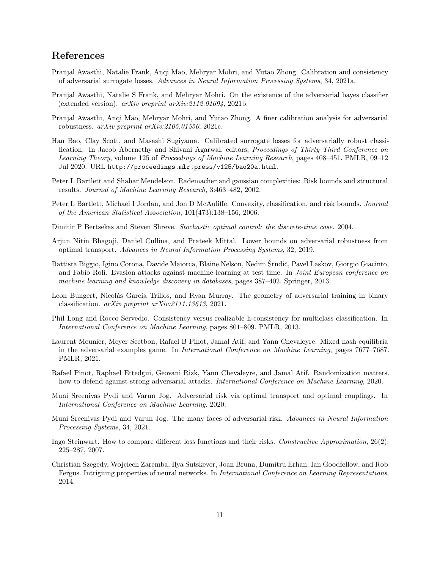## References

- Pranjal Awasthi, Natalie Frank, Anqi Mao, Mehryar Mohri, and Yutao Zhong. Calibration and consistency of adversarial surrogate losses. Advances in Neural Information Processing Systems, 34, 2021a.
- Pranjal Awasthi, Natalie S Frank, and Mehryar Mohri. On the existence of the adversarial bayes classifier (extended version).  $arXiv$  preprint  $arXiv:2112.01694$ , 2021b.
- Pranjal Awasthi, Anqi Mao, Mehryar Mohri, and Yutao Zhong. A finer calibration analysis for adversarial robustness. arXiv preprint arXiv:2105.01550, 2021c.
- Han Bao, Clay Scott, and Masashi Sugiyama. Calibrated surrogate losses for adversarially robust classification. In Jacob Abernethy and Shivani Agarwal, editors, *Proceedings of Thirty Third Conference on* Learning Theory, volume 125 of Proceedings of Machine Learning Research, pages 408–451. PMLR, 09–12 Jul 2020. URL http://proceedings.mlr.press/v125/bao20a.html.
- Peter L Bartlett and Shahar Mendelson. Rademacher and gaussian complexities: Risk bounds and structural results. Journal of Machine Learning Research, 3:463–482, 2002.
- Peter L Bartlett, Michael I Jordan, and Jon D McAuliffe. Convexity, classification, and risk bounds. Journal of the American Statistical Association, 101(473):138–156, 2006.
- Dimitir P Bertsekas and Steven Shreve. Stochastic optimal control: the discrete-time case. 2004.
- Arjun Nitin Bhagoji, Daniel Cullina, and Prateek Mittal. Lower bounds on adversarial robustness from optimal transport. Advances in Neural Information Processing Systems, 32, 2019.
- Battista Biggio, Igino Corona, Davide Maiorca, Blaine Nelson, Nedim Šrndić, Pavel Laskov, Giorgio Giacinto, and Fabio Roli. Evasion attacks against machine learning at test time. In Joint European conference on machine learning and knowledge discovery in databases, pages 387–402. Springer, 2013.
- Leon Bungert, Nicolás García Trillos, and Ryan Murray. The geometry of adversarial training in binary classification. arXiv preprint arXiv:2111.13613, 2021.
- Phil Long and Rocco Servedio. Consistency versus realizable h-consistency for multiclass classification. In International Conference on Machine Learning, pages 801–809. PMLR, 2013.
- Laurent Meunier, Meyer Scetbon, Rafael B Pinot, Jamal Atif, and Yann Chevaleyre. Mixed nash equilibria in the adversarial examples game. In International Conference on Machine Learning, pages 7677–7687. PMLR, 2021.
- Rafael Pinot, Raphael Ettedgui, Geovani Rizk, Yann Chevaleyre, and Jamal Atif. Randomization matters. how to defend against strong adversarial attacks. *International Conference on Machine Learning*, 2020.
- Muni Sreenivas Pydi and Varun Jog. Adversarial risk via optimal transport and optimal couplings. In International Conference on Machine Learning. 2020.
- Muni Sreenivas Pydi and Varun Jog. The many faces of adversarial risk. Advances in Neural Information Processing Systems, 34, 2021.
- Ingo Steinwart. How to compare different loss functions and their risks. Constructive Approximation, 26(2): 225–287, 2007.
- Christian Szegedy, Wojciech Zaremba, Ilya Sutskever, Joan Bruna, Dumitru Erhan, Ian Goodfellow, and Rob Fergus. Intriguing properties of neural networks. In *International Conference on Learning Representations*, 2014.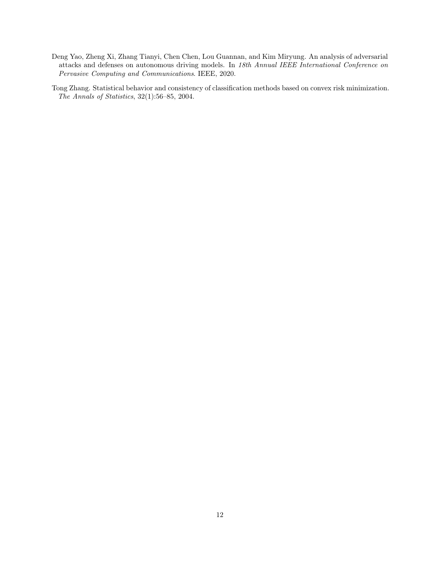- Deng Yao, Zheng Xi, Zhang Tianyi, Chen Chen, Lou Guannan, and Kim Miryung. An analysis of adversarial attacks and defenses on autonomous driving models. In 18th Annual IEEE International Conference on Pervasive Computing and Communications. IEEE, 2020.
- Tong Zhang. Statistical behavior and consistency of classification methods based on convex risk minimization. The Annals of Statistics, 32(1):56–85, 2004.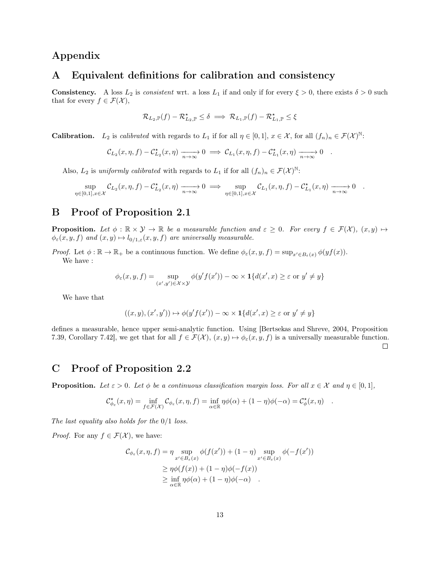# Appendix

### A Equivalent definitions for calibration and consistency

**Consistency.** A loss  $L_2$  is consistent wrt. a loss  $L_1$  if and only if for every  $\xi > 0$ , there exists  $\delta > 0$  such that for every  $f \in \mathcal{F}(\mathcal{X}),$ 

$$
\mathcal{R}_{L_2,\mathbb{P}}(f)-\mathcal{R}_{L_2,\mathbb{P}}^{\star}\leq\delta\implies \mathcal{R}_{L_1,\mathbb{P}}(f)-\mathcal{R}_{L_1,\mathbb{P}}^{\star}\leq\xi
$$

**Calibration.** L<sub>2</sub> is calibrated with regards to L<sub>1</sub> if for all  $\eta \in [0,1]$ ,  $x \in \mathcal{X}$ , for all  $(f_n)_n \in \mathcal{F}(\mathcal{X})^{\mathbb{N}}$ .

$$
\mathcal{C}_{L_2}(x,\eta,f)-\mathcal{C}_{L_2}^{\star}(x,\eta)\xrightarrow[n\to\infty]{} 0 \implies \mathcal{C}_{L_1}(x,\eta,f)-\mathcal{C}_{L_1}^{\star}(x,\eta)\xrightarrow[n\to\infty]{} 0.
$$

Also,  $L_2$  is uniformly calibrated with regards to  $L_1$  if for all  $(f_n)_n \in \mathcal{F}(\mathcal{X})^{\mathbb{N}}$ .

$$
\sup_{\eta \in [0,1], x \in \mathcal{X}} \mathcal{C}_{L_2}(x,\eta,f) - \mathcal{C}_{L_2}^{\star}(x,\eta) \xrightarrow[n \to \infty]{} 0 \implies \sup_{\eta \in [0,1], x \in \mathcal{X}} \mathcal{C}_{L_1}(x,\eta,f) - \mathcal{C}_{L_1}^{\star}(x,\eta) \xrightarrow[n \to \infty]{} 0 .
$$

## B Proof of Proposition 2.1

**Proposition.** Let  $\phi : \mathbb{R} \times \mathcal{Y} \to \mathbb{R}$  be a measurable function and  $\varepsilon \geq 0$ . For every  $f \in \mathcal{F}(\mathcal{X})$ ,  $(x, y) \mapsto$  $\phi_{\varepsilon}(x, y, f)$  and  $(x, y) \mapsto l_{0/1, \varepsilon}(x, y, f)$  are universally measurable.

Proof. Let  $\phi : \mathbb{R} \to \mathbb{R}_+$  be a continuous function. We define  $\phi_{\varepsilon}(x, y, f) = \sup_{x' \in B_{\varepsilon}(x)} \phi(yf(x)).$ We have :

$$
\phi_{\varepsilon}(x, y, f) = \sup_{(x', y') \in \mathcal{X} \times \mathcal{Y}} \phi(y'f(x')) - \infty \times \mathbf{1}\{d(x', x) \ge \varepsilon \text{ or } y' \ne y\}
$$

We have that

$$
((x,y),(x',y'))\mapsto \phi(y'f(x'))-\infty\times\mathbf{1}\{d(x',x)\geq \varepsilon \text{ or } y'\neq y\}
$$

defines a measurable, hence upper semi-analytic function. Using [Bertsekas and Shreve, 2004, Proposition 7.39, Corollary 7.42], we get that for all  $f \in \mathcal{F}(\mathcal{X}), (x, y) \mapsto \phi_{\varepsilon}(x, y, f)$  is a universally measurable function.  $\Box$ 

# C Proof of Proposition 2.2

**Proposition.** Let  $\varepsilon > 0$ . Let  $\phi$  be a continuous classification margin loss. For all  $x \in \mathcal{X}$  and  $\eta \in [0,1]$ ,

$$
\mathcal{C}_{\phi_{\varepsilon}}^{\star}(x,\eta) = \inf_{f \in \mathcal{F}(\mathcal{X})} \mathcal{C}_{\phi_{\varepsilon}}(x,\eta,f) = \inf_{\alpha \in \mathbb{R}} \eta \phi(\alpha) + (1-\eta)\phi(-\alpha) = \mathcal{C}_{\phi}^{\star}(x,\eta) .
$$

The last equality also holds for the  $0/1$  loss.

*Proof.* For any  $f \in \mathcal{F}(\mathcal{X})$ , we have:

$$
C_{\phi_{\varepsilon}}(x,\eta,f) = \eta \sup_{x' \in B_{\varepsilon}(x)} \phi(f(x')) + (1-\eta) \sup_{x' \in B_{\varepsilon}(x)} \phi(-f(x'))
$$
  
\n
$$
\geq \eta \phi(f(x)) + (1-\eta)\phi(-f(x))
$$
  
\n
$$
\geq \inf_{\alpha \in \mathbb{R}} \eta \phi(\alpha) + (1-\eta)\phi(-\alpha) .
$$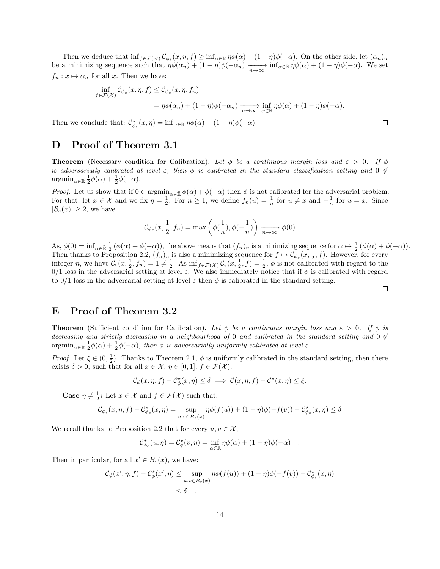Then we deduce that  $\inf_{f \in \mathcal{F}(\mathcal{X})} C_{\phi_{\varepsilon}}(x, \eta, f) \geq \inf_{\alpha \in \mathbb{R}} \eta \phi(\alpha) + (1 - \eta) \phi(-\alpha)$ . On the other side, let  $(\alpha_n)_n$ be a minimizing sequence such that  $\eta\phi(\alpha_n) + (1-\eta)\phi(-\alpha_n) \xrightarrow[n \to \infty]{} \inf_{\alpha \in \mathbb{R}} \eta\phi(\alpha) + (1-\eta)\phi(-\alpha)$ . We set  $f_n : x \mapsto \alpha_n$  for all x. Then we have:

$$
\inf_{f \in \mathcal{F}(\mathcal{X})} C_{\phi_{\varepsilon}}(x, \eta, f) \leq C_{\phi_{\varepsilon}}(x, \eta, f_n)
$$
\n
$$
= \eta \phi(\alpha_n) + (1 - \eta) \phi(-\alpha_n) \xrightarrow[n \to \infty]{} \inf_{\alpha \in \mathbb{R}} \eta \phi(\alpha) + (1 - \eta) \phi(-\alpha).
$$

Then we conclude that:  $\mathcal{C}^{\star}_{\phi_{\varepsilon}}(x,\eta) = \inf_{\alpha \in \mathbb{R}} \eta \phi(\alpha) + (1 - \eta)\phi(-\alpha)$ .

# D Proof of Theorem 3.1

**Theorem** (Necessary condition for Calibration). Let  $\phi$  be a continuous margin loss and  $\varepsilon > 0$ . If  $\phi$ is adversarially calibrated at level  $\varepsilon$ , then  $\phi$  is calibrated in the standard classification setting and 0  $\notin$  $\operatorname{argmin}_{\alpha \in \bar{\mathbb{R}}} \frac{1}{2} \phi(\alpha) + \frac{1}{2} \phi(-\alpha).$ 

*Proof.* Let us show that if  $0 \in \operatorname{argmin}_{\alpha \in \mathbb{R}} \phi(\alpha) + \phi(-\alpha)$  then  $\phi$  is not calibrated for the adversarial problem. For that, let  $x \in \mathcal{X}$  and we fix  $\eta = \frac{1}{2}$ . For  $n \geq 1$ , we define  $f_n(u) = \frac{1}{n}$  for  $u \neq x$  and  $-\frac{1}{n}$  for  $u = x$ . Since  $|\mathcal{B}_{\varepsilon}(x)| \geq 2$ , we have

$$
\mathcal{C}_{\phi_{\varepsilon}}(x, \frac{1}{2}, f_n) = \max\left(\phi(\frac{1}{n}), \phi(-\frac{1}{n})\right) \xrightarrow[n \to \infty]{} \phi(0)
$$

As,  $\phi(0) = \inf_{\alpha \in \mathbb{R}} \frac{1}{2} (\phi(\alpha) + \phi(-\alpha))$ , the above means that  $(f_n)_n$  is a minimizing sequence for  $\alpha \mapsto \frac{1}{2} (\phi(\alpha) + \phi(-\alpha))$ . Then thanks to Proposition 2.2,  $(f_n)_n$  is also a minimizing sequence for  $f \mapsto \mathcal{C}_{\phi_{\varepsilon}}(x, \frac{1}{2}, f)$ . However, for every integer n, we have  $\mathcal{C}_{\varepsilon}(x, \frac{1}{2}, f_n) = 1 \neq \frac{1}{2}$ . As  $\inf_{f \in \mathcal{F}(\mathcal{X})} \mathcal{C}_{\varepsilon}(x, \frac{1}{2}, f) = \frac{1}{2}$ ,  $\phi$  is not calibrated with regard to the 0/1 loss in the adversarial setting at level  $\varepsilon$ . We also immediately notice that if  $\phi$  is calibrated with regard to  $0/1$  loss in the adversarial setting at level  $\varepsilon$  then  $\phi$  is calibrated in the standard setting.

#### $\Box$

 $\Box$ 

### E Proof of Theorem 3.2

**Theorem** (Sufficient condition for Calibration). Let  $\phi$  be a continuous margin loss and  $\varepsilon > 0$ . If  $\phi$  is decreasing and strictly decreasing in a neighbourhood of 0 and calibrated in the standard setting and 0  $\notin$  $\operatorname{argmin}_{\alpha \in \bar{\mathbb{R}}} \frac{1}{2}\phi(\alpha) + \frac{1}{2}\phi(-\alpha)$ , then  $\phi$  is adversarially uniformly calibrated at level  $\varepsilon$ .

*Proof.* Let  $\xi \in (0, \frac{1}{2})$ . Thanks to Theorem 2.1,  $\phi$  is uniformly calibrated in the standard setting, then there exists  $\delta > 0$ , such that for all  $x \in \mathcal{X}$ ,  $\eta \in [0,1]$ ,  $f \in \mathcal{F}(\mathcal{X})$ :

$$
\mathcal{C}_{\phi}(x,\eta,f)-\mathcal{C}_{\phi}^{\star}(x,\eta)\leq\delta\implies\mathcal{C}(x,\eta,f)-\mathcal{C}^{\star}(x,\eta)\leq\xi.
$$

**Case**  $\eta \neq \frac{1}{2}$ : Let  $x \in \mathcal{X}$  and  $f \in \mathcal{F}(\mathcal{X})$  such that:

$$
\mathcal{C}_{\phi_{\varepsilon}}(x,\eta,f)-\mathcal{C}_{\phi_{\varepsilon}}^{\star}(x,\eta)=\sup_{u,v\in B_{\varepsilon}(x)}\eta\phi(f(u))+(1-\eta)\phi(-f(v))-\mathcal{C}_{\phi_{\varepsilon}}^{\star}(x,\eta)\leq\delta
$$

We recall thanks to Proposition 2.2 that for every  $u, v \in \mathcal{X}$ ,

$$
\mathcal{C}_{\phi_{\varepsilon}}^{\star}(u,\eta) = \mathcal{C}_{\phi}^{\star}(v,\eta) = \inf_{\alpha \in \mathbb{R}} \eta \phi(\alpha) + (1 - \eta)\phi(-\alpha) .
$$

Then in particular, for all  $x' \in B_{\varepsilon}(x)$ , we have:

$$
C_{\phi}(x', \eta, f) - C_{\phi}^{\star}(x', \eta) \le \sup_{u, v \in B_{\varepsilon}(x)} \eta \phi(f(u)) + (1 - \eta)\phi(-f(v)) - C_{\phi_{\varepsilon}}^{\star}(x, \eta)
$$
  

$$
\le \delta.
$$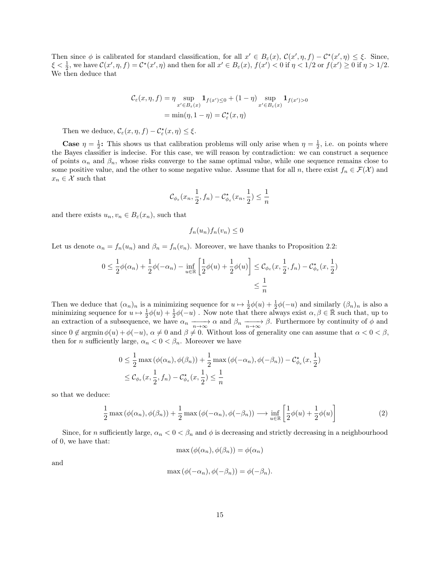Then since  $\phi$  is calibrated for standard classification, for all  $x' \in B_{\varepsilon}(x)$ ,  $\mathcal{C}(x', \eta, f) - \mathcal{C}^*(x', \eta) \leq \xi$ . Since,  $\xi < \frac{1}{2}$ , we have  $\mathcal{C}(x', \eta, f) = \mathcal{C}^*(x', \eta)$  and then for all  $x' \in B_{\varepsilon}(x)$ ,  $f(x') < 0$  if  $\eta < 1/2$  or  $f(x') \ge 0$  if  $\eta > 1/2$ . We then deduce that

$$
C_{\varepsilon}(x,\eta,f) = \eta \sup_{x' \in B_{\varepsilon}(x)} \mathbf{1}_{f(x') \le 0} + (1-\eta) \sup_{x' \in B_{\varepsilon}(x)} \mathbf{1}_{f(x') > 0}
$$

$$
= \min(\eta, 1-\eta) = C_{\varepsilon}^{\star}(x,\eta)
$$

Then we deduce,  $\mathcal{C}_{\varepsilon}(x, \eta, f) - \mathcal{C}_{\varepsilon}^{\star}(x, \eta) \leq \xi$ .

**Case**  $\eta = \frac{1}{2}$ : This shows us that calibration problems will only arise when  $\eta = \frac{1}{2}$ , i.e. on points where the Bayes classifier is indecise. For this case, we will reason by contradiction: we can construct a sequence of points  $\alpha_n$  and  $\beta_n$ , whose risks converge to the same optimal value, while one sequence remains close to some positive value, and the other to some negative value. Assume that for all n, there exist  $f_n \in \mathcal{F}(\mathcal{X})$  and  $x_n \in \mathcal{X}$  such that

$$
\mathcal{C}_{\phi_{\varepsilon}}(x_n, \frac{1}{2}, f_n) - \mathcal{C}_{\phi_{\varepsilon}}^{\star}(x_n, \frac{1}{2}) \le \frac{1}{n}
$$

and there exists  $u_n, v_n \in B_{\varepsilon}(x_n)$ , such that

$$
f_n(u_n)f_n(v_n) \leq 0
$$

Let us denote  $\alpha_n = f_n(u_n)$  and  $\beta_n = f_n(v_n)$ . Moreover, we have thanks to Proposition 2.2:

$$
0 \le \frac{1}{2}\phi(\alpha_n) + \frac{1}{2}\phi(-\alpha_n) - \inf_{u \in \mathbb{R}} \left[ \frac{1}{2}\phi(u) + \frac{1}{2}\phi(u) \right] \le C_{\phi_{\varepsilon}}(x, \frac{1}{2}, f_n) - C_{\phi_{\varepsilon}}^*(x, \frac{1}{2})
$$
  

$$
\le \frac{1}{n}
$$

Then we deduce that  $(\alpha_n)_n$  is a minimizing sequence for  $u \mapsto \frac{1}{2}\phi(u) + \frac{1}{2}\phi(-u)$  and similarly  $(\beta_n)_n$  is also a minimizing sequence for  $u \mapsto \frac{1}{2}\phi(u) + \frac{1}{2}\phi(-u)$ . Now note that there always exist  $\alpha, \beta \in \mathbb{R}$  such that, up to an extraction of a subsequence, we have  $\alpha_n \longrightarrow_{n \to \infty} \alpha$  and  $\beta_n \longrightarrow_{n \to \infty} \beta$ . Furthermore by continuity of  $\phi$  and since  $0 \notin \operatorname{argmin} \phi(u) + \phi(-u)$ ,  $\alpha \neq 0$  and  $\beta \neq 0$ . Without loss of generality one can assume that  $\alpha < 0 < \beta$ , then for *n* sufficiently large,  $\alpha_n < 0 < \beta_n$ . Moreover we have

$$
0 \leq \frac{1}{2} \max (\phi(\alpha_n), \phi(\beta_n)) + \frac{1}{2} \max (\phi(-\alpha_n), \phi(-\beta_n)) - C_{\phi_{\varepsilon}}^{\star}(x, \frac{1}{2})
$$
  

$$
\leq C_{\phi_{\varepsilon}}(x, \frac{1}{2}, f_n) - C_{\phi_{\varepsilon}}^{\star}(x, \frac{1}{2}) \leq \frac{1}{n}
$$

so that we deduce:

$$
\frac{1}{2}\max\left(\phi(\alpha_n),\phi(\beta_n)\right) + \frac{1}{2}\max\left(\phi(-\alpha_n),\phi(-\beta_n)\right) \longrightarrow \inf_{u \in \mathbb{R}} \left[\frac{1}{2}\phi(u) + \frac{1}{2}\phi(u)\right]
$$
\n(2)

Since, for n sufficiently large,  $\alpha_n < 0 < \beta_n$  and  $\phi$  is decreasing and strictly decreasing in a neighbourhood of 0, we have that:

$$
\max(\phi(\alpha_n), \phi(\beta_n)) = \phi(\alpha_n)
$$

and

$$
\max(\phi(-\alpha_n), \phi(-\beta_n)) = \phi(-\beta_n).
$$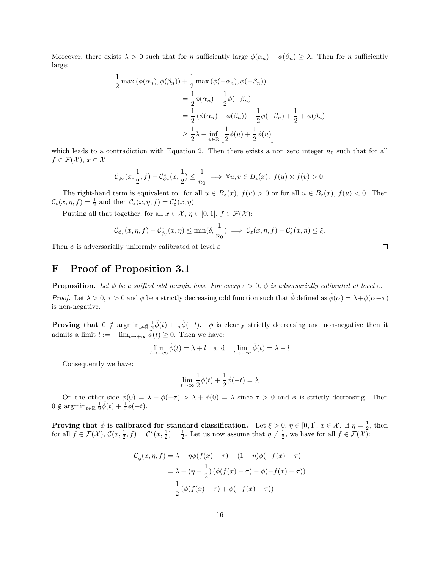Moreover, there exists  $\lambda > 0$  such that for n sufficiently large  $\phi(\alpha_n) - \phi(\beta_n) \geq \lambda$ . Then for n sufficiently large:

$$
\frac{1}{2} \max (\phi(\alpha_n), \phi(\beta_n)) + \frac{1}{2} \max (\phi(-\alpha_n), \phi(-\beta_n))
$$
  
\n
$$
= \frac{1}{2} \phi(\alpha_n) + \frac{1}{2} \phi(-\beta_n)
$$
  
\n
$$
= \frac{1}{2} (\phi(\alpha_n) - \phi(\beta_n)) + \frac{1}{2} \phi(-\beta_n) + \frac{1}{2} + \phi(\beta_n)
$$
  
\n
$$
\geq \frac{1}{2} \lambda + \inf_{u \in \mathbb{R}} \left[ \frac{1}{2} \phi(u) + \frac{1}{2} \phi(u) \right]
$$

which leads to a contradiction with Equation 2. Then there exists a non zero integer  $n_0$  such that for all  $f \in \mathcal{F}(\mathcal{X}), x \in \mathcal{X}$ 

$$
\mathcal{C}_{\phi_{\varepsilon}}(x,\frac{1}{2},f)-\mathcal{C}_{\phi_{\varepsilon}}^{\star}(x,\frac{1}{2})\leq \frac{1}{n_0}\implies \forall u,v\in B_{\varepsilon}(x),\ f(u)\times f(v)>0.
$$

The right-hand term is equivalent to: for all  $u \in B_{\varepsilon}(x)$ ,  $f(u) > 0$  or for all  $u \in B_{\varepsilon}(x)$ ,  $f(u) < 0$ . Then  $\mathcal{C}_{\varepsilon}(x,\eta,f)=\frac{1}{2}$  and then  $\mathcal{C}_{\varepsilon}(x,\eta,f)=\mathcal{C}_{\varepsilon}^{\star}(x,\eta)$ 

Putting all that together, for all  $x \in \mathcal{X}$ ,  $\eta \in [0,1]$ ,  $f \in \mathcal{F}(\mathcal{X})$ :

$$
\mathcal{C}_{\phi_{\varepsilon}}(x,\eta,f)-\mathcal{C}_{\phi_{\varepsilon}}^{\star}(x,\eta)\leq \min(\delta,\frac{1}{n_0})\implies \mathcal{C}_{\varepsilon}(x,\eta,f)-\mathcal{C}_{\varepsilon}^{\star}(x,\eta)\leq \xi.
$$

Then  $\phi$  is adversarially uniformly calibrated at level  $\varepsilon$ 

# F Proof of Proposition 3.1

**Proposition.** Let  $\phi$  be a shifted odd margin loss. For every  $\varepsilon > 0$ ,  $\phi$  is adversarially calibrated at level  $\varepsilon$ . Proof. Let  $\lambda > 0$ ,  $\tau > 0$  and  $\phi$  be a strictly decreasing odd function such that  $\tilde{\phi}$  defined as  $\tilde{\phi}(\alpha) = \lambda + \phi(\alpha - \tau)$ is non-negative.

**Proving that**  $0 \notin \operatorname{argmin}_{t \in \bar{\mathbb{R}}} \frac{1}{2} \tilde{\phi}(t) + \frac{1}{2} \tilde{\phi}(-t)$ .  $\phi$  is clearly strictly decreasing and non-negative then it admits a limit  $l := -\lim_{t\to+\infty} \tilde{\phi}(t) \geq 0$ . Then we have:

$$
\lim_{t \to +\infty} \tilde{\phi}(t) = \lambda + l \quad \text{and} \quad \lim_{t \to -\infty} \tilde{\phi}(t) = \lambda - l
$$

Consequently we have:

$$
\lim_{t\to\infty}\frac{1}{2}\tilde{\phi}(t)+\frac{1}{2}\tilde{\phi}(-t)=\lambda
$$

On the other side  $\tilde{\phi}(0) = \lambda + \phi(-\tau) > \lambda + \phi(0) = \lambda$  since  $\tau > 0$  and  $\phi$  is strictly decreasing. Then  $0 \notin \operatorname{argmin}_{t \in \bar{\mathbb{R}}} \frac{1}{2} \tilde{\phi}(t) + \frac{1}{2} \tilde{\phi}(-t).$ 

Proving that  $\tilde{\phi}$  is calibrated for standard classification. Let  $\xi > 0$ ,  $\eta \in [0,1]$ ,  $x \in \mathcal{X}$ . If  $\eta = \frac{1}{2}$ , then for all  $f \in \mathcal{F}(\mathcal{X}), \mathcal{C}(x, \frac{1}{2}, f) = \mathcal{C}^*(x, \frac{1}{2}) = \frac{1}{2}$ . Let us now assume that  $\eta \neq \frac{1}{2}$ , we have for all  $f \in \mathcal{F}(\mathcal{X})$ :

$$
\mathcal{C}_{\tilde{\phi}}(x,\eta,f) = \lambda + \eta \phi(f(x) - \tau) + (1 - \eta)\phi(-f(x) - \tau)
$$
  
=  $\lambda + (\eta - \frac{1}{2}) (\phi(f(x) - \tau) - \phi(-f(x) - \tau))$   
+  $\frac{1}{2} (\phi(f(x) - \tau) + \phi(-f(x) - \tau))$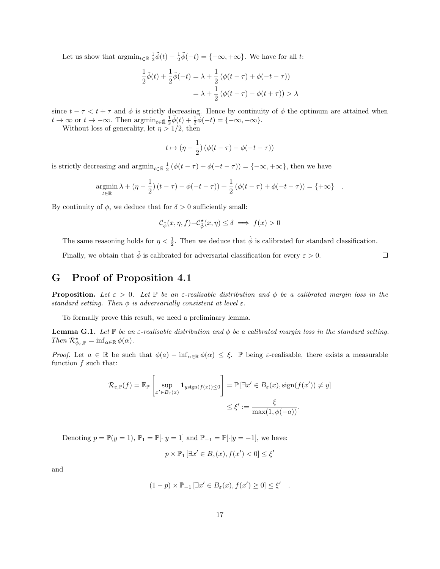Let us show that  $\operatorname{argmin}_{t \in \bar{\mathbb{R}}} \frac{1}{2} \tilde{\phi}(t) + \frac{1}{2} \tilde{\phi}(-t) = \{-\infty, +\infty\}.$  We have for all t:

$$
\frac{1}{2}\tilde{\phi}(t) + \frac{1}{2}\tilde{\phi}(-t) = \lambda + \frac{1}{2}(\phi(t-\tau) + \phi(-t-\tau))
$$

$$
= \lambda + \frac{1}{2}(\phi(t-\tau) - \phi(t+\tau)) > \lambda
$$

since  $t - \tau < t + \tau$  and  $\phi$  is strictly decreasing. Hence by continuity of  $\phi$  the optimum are attained when  $t \to \infty$  or  $t \to -\infty$ . Then  $\operatorname{argmin}_{t \in \bar{\mathbb{R}}} \frac{1}{2} \tilde{\phi}(t) + \frac{1}{2} \tilde{\phi}(-t) = \{-\infty, +\infty\}.$ 

Without loss of generality, let  $\eta > 1/2$ , then

$$
t \mapsto (\eta - \frac{1}{2}) (\phi(t - \tau) - \phi(-t - \tau))
$$

is strictly decreasing and  $\operatorname{argmin}_{t \in \bar{\mathbb{R}}} \frac{1}{2} (\phi(t - \tau) + \phi(-t - \tau)) = \{-\infty, +\infty\}$ , then we have

$$
\underset{t \in \bar{\mathbb{R}}}{\text{argmin}} \, \lambda + (\eta - \frac{1}{2}) \, (t - \tau) - \phi(-t - \tau)) + \frac{1}{2} \left( \phi(t - \tau) + \phi(-t - \tau) \right) = \{ +\infty \} \quad .
$$

By continuity of  $\phi$ , we deduce that for  $\delta > 0$  sufficiently small:

$$
\mathcal{C}_{\tilde{\phi}}(x,\eta,f)-\mathcal{C}^{\star}_{\tilde{\phi}}(x,\eta)\leq\delta\implies f(x)>0
$$

The same reasoning holds for  $\eta < \frac{1}{2}$ . Then we deduce that  $\tilde{\phi}$  is calibrated for standard classification.

 $\Box$ 

Finally, we obtain that  $\tilde{\phi}$  is calibrated for adversarial classification for every  $\varepsilon > 0$ .

# G Proof of Proposition 4.1

**Proposition.** Let  $\varepsilon > 0$ . Let  $\mathbb{P}$  be an  $\varepsilon$ -realisable distribution and  $\phi$  be a calibrated margin loss in the standard setting. Then  $\phi$  is adversarially consistent at level  $\varepsilon$ .

To formally prove this result, we need a preliminary lemma.

**Lemma G.1.** Let  $\mathbb P$  be an  $\varepsilon$ -realisable distribution and  $\phi$  be a calibrated margin loss in the standard setting. Then  $\mathcal{R}_{\phi_{\varepsilon},\mathbb{P}}^{\star} = \inf_{\alpha \in \mathbb{R}} \phi(\alpha)$ .

Proof. Let  $a \in \mathbb{R}$  be such that  $\phi(a) - \inf_{\alpha \in \mathbb{R}} \phi(\alpha) \leq \xi$ . P being  $\varepsilon$ -realisable, there exists a measurable function  $f$  such that:

$$
\mathcal{R}_{\varepsilon,\mathbb{P}}(f) = \mathbb{E}_{\mathbb{P}}\left[\sup_{x' \in B_{\varepsilon}(x)} \mathbf{1}_{y \text{sign}(f(x)) \le 0}\right] = \mathbb{P}\left[\exists x' \in B_{\varepsilon}(x), \text{sign}(f(x')) \ne y\right] \le \xi' := \frac{\xi}{\max(1, \phi(-a))}.
$$

Denoting  $p = \mathbb{P}(y = 1)$ ,  $\mathbb{P}_1 = \mathbb{P}[\cdot|y = 1]$  and  $\mathbb{P}_{-1} = \mathbb{P}[\cdot|y = -1]$ , we have:

$$
p \times \mathbb{P}_1 \left[ \exists x' \in B_{\varepsilon}(x), f(x') < 0 \right] \le \xi'
$$

and

$$
(1-p) \times \mathbb{P}_{-1} \left[ \exists x' \in B_{\varepsilon}(x), f(x') \ge 0 \right] \le \xi' .
$$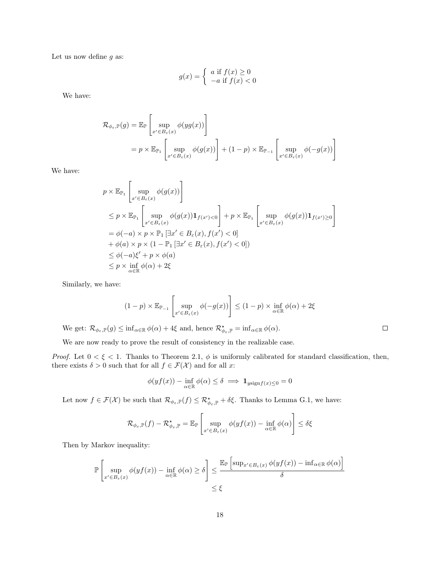Let us now define  $q$  as:

$$
g(x) = \begin{cases} a \text{ if } f(x) \ge 0\\ -a \text{ if } f(x) < 0 \end{cases}
$$

We have:

$$
\mathcal{R}_{\phi_{\varepsilon}, \mathbb{P}}(g) = \mathbb{E}_{\mathbb{P}}\left[\sup_{x' \in B_{\varepsilon}(x)} \phi(yg(x))\right]
$$
  
=  $p \times \mathbb{E}_{\mathbb{P}_1}\left[\sup_{x' \in B_{\varepsilon}(x)} \phi(g(x))\right] + (1 - p) \times \mathbb{E}_{\mathbb{P}_{-1}}\left[\sup_{x' \in B_{\varepsilon}(x)} \phi(-g(x))\right]$ 

We have:

$$
p \times \mathbb{E}_{\mathbb{P}_1} \left[ \sup_{x' \in B_{\varepsilon}(x)} \phi(g(x)) \right]
$$
  
\n
$$
\leq p \times \mathbb{E}_{\mathbb{P}_1} \left[ \sup_{x' \in B_{\varepsilon}(x)} \phi(g(x)) \mathbf{1}_{f(x') < 0} \right] + p \times \mathbb{E}_{\mathbb{P}_1} \left[ \sup_{x' \in B_{\varepsilon}(x)} \phi(g(x)) \mathbf{1}_{f(x') \ge 0} \right]
$$
  
\n
$$
= \phi(-a) \times p \times \mathbb{P}_1 \left[ \exists x' \in B_{\varepsilon}(x), f(x') < 0 \right]
$$
  
\n
$$
+ \phi(a) \times p \times (1 - \mathbb{P}_1 \left[ \exists x' \in B_{\varepsilon}(x), f(x') < 0 \right])
$$
  
\n
$$
\leq \phi(-a)\xi' + p \times \phi(a)
$$
  
\n
$$
\leq p \times \inf_{\alpha \in \mathbb{R}} \phi(\alpha) + 2\xi
$$

Similarly, we have:

$$
(1-p) \times \mathbb{E}_{\mathbb{P}_{-1}} \left[ \sup_{x' \in B_{\varepsilon}(x)} \phi(-g(x)) \right] \le (1-p) \times \inf_{\alpha \in \mathbb{R}} \phi(\alpha) + 2\xi
$$

 $\Box$ 

We get:  $\mathcal{R}_{\phi_{\varepsilon}, \mathbb{P}}(g) \leq \inf_{\alpha \in \mathbb{R}} \phi(\alpha) + 4\xi$  and, hence  $\mathcal{R}_{\phi_{\varepsilon}, \mathbb{P}}^{\star} = \inf_{\alpha \in \mathbb{R}} \phi(\alpha)$ .

We are now ready to prove the result of consistency in the realizable case.

Proof. Let  $0 < \xi < 1$ . Thanks to Theorem 2.1,  $\phi$  is uniformly calibrated for standard classification, then, there exists  $\delta > 0$  such that for all  $f \in \mathcal{F}(\mathcal{X})$  and for all x:

$$
\phi(yf(x)) - \inf_{\alpha \in \mathbb{R}} \phi(\alpha) \le \delta \implies \mathbf{1}_{y \le \min f(x) \le 0} = 0
$$

Let now  $f \in \mathcal{F}(\mathcal{X})$  be such that  $\mathcal{R}_{\phi_{\varepsilon}, \mathbb{P}}(f) \leq \mathcal{R}_{\phi_{\varepsilon}, \mathbb{P}}^{\star} + \delta \xi$ . Thanks to Lemma G.1, we have:

$$
\mathcal{R}_{\phi_{\varepsilon},\mathbb{P}}(f) - \mathcal{R}_{\phi_{\varepsilon},\mathbb{P}}^{\star} = \mathbb{E}_{\mathbb{P}}\left[\sup_{x' \in B_{\varepsilon}(x)} \phi(yf(x)) - \inf_{\alpha \in \mathbb{R}} \phi(\alpha)\right] \le \delta \xi
$$

Then by Markov inequality:

$$
\mathbb{P}\left[\sup_{x'\in B_{\varepsilon}(x)}\phi(yf(x)) - \inf_{\alpha\in\mathbb{R}}\phi(\alpha) \ge \delta\right] \le \frac{\mathbb{E}_{\mathbb{P}}\left[\sup_{x'\in B_{\varepsilon}(x)}\phi(yf(x)) - \inf_{\alpha\in\mathbb{R}}\phi(\alpha)\right]}{\delta}
$$
  
\$\le \xi\$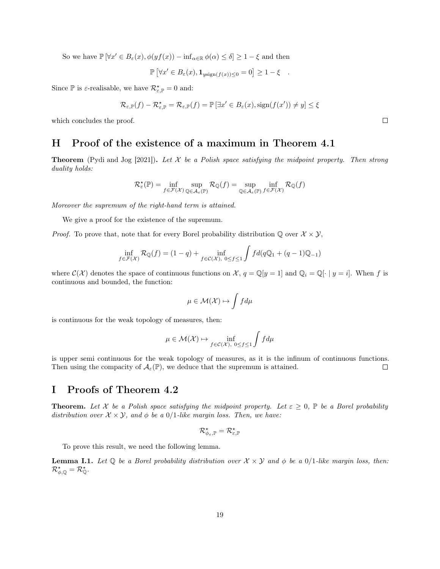So we have  $\mathbb{P}[\forall x' \in B_{\varepsilon}(x), \phi(yf(x)) - \inf_{\alpha \in \mathbb{R}} \phi(\alpha) \leq \delta] \geq 1 - \xi$  and then

$$
\mathbb{P}\left[\forall x' \in B_{\varepsilon}(x), \mathbf{1}_{y\text{sign}(f(x)) \leq 0} = 0\right] \geq 1 - \xi.
$$

Since  $\mathbb P$  is  $\varepsilon$ -realisable, we have  $\mathcal R^\star_{\varepsilon,\mathbb P} = 0$  and:

$$
\mathcal{R}_{\varepsilon,\mathbb{P}}(f) - \mathcal{R}_{\varepsilon,\mathbb{P}}^{\star} = \mathcal{R}_{\varepsilon,\mathbb{P}}(f) = \mathbb{P}\left[\exists x' \in B_{\varepsilon}(x), \operatorname{sign}(f(x')) \neq y\right] \leq \xi
$$

which concludes the proof.

## H Proof of the existence of a maximum in Theorem 4.1

**Theorem** (Pydi and Jog [2021]). Let  $X$  be a Polish space satisfying the midpoint property. Then strong duality holds:

$$
\mathcal{R}_{\varepsilon}^{\star}(\mathbb{P})=\inf_{f\in\mathcal{F}(\mathcal{X})}\sup_{\mathbb{Q}\in\mathcal{A}_{\varepsilon}(\mathbb{P})}\mathcal{R}_{\mathbb{Q}}(f)=\sup_{\mathbb{Q}\in\mathcal{A}_{\varepsilon}(\mathbb{P})}\inf_{f\in\mathcal{F}(\mathcal{X})}\mathcal{R}_{\mathbb{Q}}(f)
$$

Moreover the supremum of the right-hand term is attained.

We give a proof for the existence of the supremum.

*Proof.* To prove that, note that for every Borel probability distribution  $\mathbb{Q}$  over  $\mathcal{X} \times \mathcal{Y}$ ,

$$
\inf_{f \in \mathcal{F}(\mathcal{X})} \mathcal{R}_{\mathbb{Q}}(f) = (1 - q) + \inf_{f \in \mathcal{C}(\mathcal{X}), 0 \le f \le 1} \int f d(q\mathbb{Q}_1 + (q - 1)\mathbb{Q}_{-1})
$$

where  $\mathcal{C}(\mathcal{X})$  denotes the space of continuous functions on  $\mathcal{X}, q = \mathbb{Q}[y = 1]$  and  $\mathbb{Q}_i = \mathbb{Q}[\cdot | y = i]$ . When f is continuous and bounded, the function:

$$
\mu \in \mathcal{M}(\mathcal{X}) \mapsto \int f d\mu
$$

is continuous for the weak topology of measures, then:

$$
\mu \in \mathcal{M}(\mathcal{X}) \mapsto \inf_{f \in \mathcal{C}(\mathcal{X}), \ 0 \le f \le 1} \int f d\mu
$$

is upper semi continuous for the weak topology of measures, as it is the infinum of continuous functions. Then using the compacity of  $\mathcal{A}_{\varepsilon}(\mathbb{P})$ , we deduce that the supremum is attained. П

## I Proofs of Theorem 4.2

**Theorem.** Let X be a Polish space satisfying the midpoint property. Let  $\varepsilon \geq 0$ ,  $\mathbb{P}$  be a Borel probability distribution over  $\mathcal{X} \times \mathcal{Y}$ , and  $\phi$  be a 0/1-like margin loss. Then, we have:

$$
\mathcal{R}_{\phi_{\varepsilon},\mathbb{P}}^{\star}=\mathcal{R}_{\varepsilon,\mathbb{P}}^{\star}
$$

To prove this result, we need the following lemma.

**Lemma I.1.** Let  $\mathbb Q$  be a Borel probability distribution over  $\mathcal X \times \mathcal Y$  and  $\phi$  be a 0/1-like margin loss, then:  $\mathcal{R}^\star_{\phi,\mathbb{Q}} = \mathcal{R}^\star_{\mathbb{Q}}.$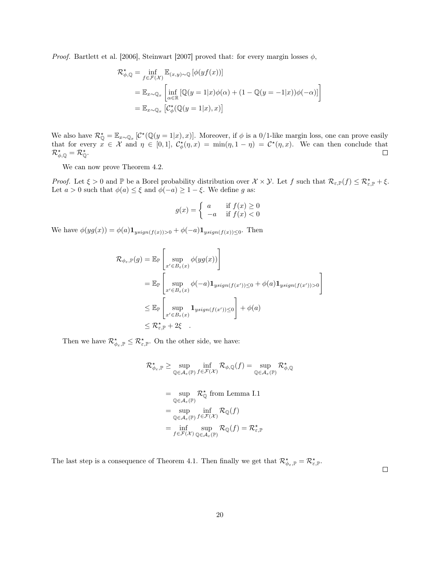*Proof.* Bartlett et al. [2006], Steinwart [2007] proved that: for every margin losses  $\phi$ ,

$$
\mathcal{R}_{\phi, \mathbb{Q}}^{\star} = \inf_{f \in \mathcal{F}(\mathcal{X})} \mathbb{E}_{(x, y) \sim \mathbb{Q}} \left[ \phi(yf(x)) \right]
$$
  
= 
$$
\mathbb{E}_{x \sim \mathbb{Q}_x} \left[ \inf_{\alpha \in \mathbb{R}} \left[ \mathbb{Q}(y = 1 | x) \phi(\alpha) + (1 - \mathbb{Q}(y = -1 | x)) \phi(-\alpha) \right] \right]
$$
  
= 
$$
\mathbb{E}_{x \sim \mathbb{Q}_x} \left[ \mathcal{C}_{\phi}^{\star}(\mathbb{Q}(y = 1 | x), x) \right]
$$

We also have  $\mathcal{R}_\mathbb{Q}^* = \mathbb{E}_{x \sim \mathbb{Q}_x} [\mathcal{C}^*(\mathbb{Q}(y=1|x), x)].$  Moreover, if  $\phi$  is a 0/1-like margin loss, one can prove easily that for every  $x \in \mathcal{X}$  and  $\eta \in [0,1], C^*_{\phi}(\eta,x) = \min(\eta,1-\eta) = C^*(\eta,x)$ . We can then conclude that  $\mathcal{R}^\star_{\phi,\mathbb{Q}} = \mathcal{R}^\star_{\mathbb{Q}}.$  $\Box$ 

We can now prove Theorem 4.2.

Proof. Let  $\xi > 0$  and  $\mathbb P$  be a Borel probability distribution over  $\mathcal X \times \mathcal Y$ . Let f such that  $\mathcal R_{\varepsilon,\mathbb P}(f) \leq \mathcal R_{\varepsilon,\mathbb P}^\star + \xi$ . Let  $a > 0$  such that  $\phi(a) \leq \xi$  and  $\phi(-a) \geq 1 - \xi$ . We define g as:

$$
g(x) = \begin{cases} a & \text{if } f(x) \ge 0\\ -a & \text{if } f(x) < 0 \end{cases}
$$

We have  $\phi(yg(x)) = \phi(a)\mathbf{1}_{y\text{sign}(f(x))>0} + \phi(-a)\mathbf{1}_{y\text{sign}(f(x))\leq 0}$ . Then

$$
\mathcal{R}_{\phi_{\varepsilon},\mathbb{P}}(g) = \mathbb{E}_{\mathbb{P}}\left[\sup_{x' \in B_{\varepsilon}(x)} \phi(yg(x))\right]
$$
\n
$$
= \mathbb{E}_{\mathbb{P}}\left[\sup_{x' \in B_{\varepsilon}(x)} \phi(-a) \mathbf{1}_{ysign(f(x')) \le 0} + \phi(a) \mathbf{1}_{ysign(f(x')) > 0}\right]
$$
\n
$$
\le \mathbb{E}_{\mathbb{P}}\left[\sup_{x' \in B_{\varepsilon}(x)} \mathbf{1}_{ysign(f(x')) \le 0}\right] + \phi(a)
$$
\n
$$
\le \mathcal{R}_{\varepsilon,\mathbb{P}}^{\star} + 2\xi.
$$

Then we have  $\mathcal{R}_{\phi_{\varepsilon}, \mathbb{P}}^{\star} \leq \mathcal{R}_{\varepsilon, \mathbb{P}}^{\star}$ . On the other side, we have:

$$
\mathcal{R}_{\phi_{\varepsilon}, \mathbb{P}}^{\star} \geq \sup_{\mathbb{Q} \in \mathcal{A}_{\varepsilon}(\mathbb{P})} \inf_{f \in \mathcal{F}(\mathcal{X})} \mathcal{R}_{\phi, \mathbb{Q}}(f) = \sup_{\mathbb{Q} \in \mathcal{A}_{\varepsilon}(\mathbb{P})} \mathcal{R}_{\phi, \mathbb{Q}}^{\star}
$$
  
\n
$$
= \sup_{\mathbb{Q} \in \mathcal{A}_{\varepsilon}(\mathbb{P})} \mathcal{R}_{\mathbb{Q}}^{\star} \text{ from Lemma I.1}
$$
  
\n
$$
= \sup_{\mathbb{Q} \in \mathcal{A}_{\varepsilon}(\mathbb{P})} \inf_{f \in \mathcal{F}(\mathcal{X})} \mathcal{R}_{\mathbb{Q}}(f)
$$
  
\n
$$
= \inf_{f \in \mathcal{F}(\mathcal{X})} \sup_{\mathbb{Q} \in \mathcal{A}_{\varepsilon}(\mathbb{P})} \mathcal{R}_{\mathbb{Q}}(f) = \mathcal{R}_{\varepsilon, \mathbb{P}}^{\star}
$$

The last step is a consequence of Theorem 4.1. Then finally we get that  $\mathcal{R}_{\phi_{\varepsilon}, \mathbb{P}}^{\star} = \mathcal{R}_{\varepsilon, \mathbb{P}}^{\star}$ .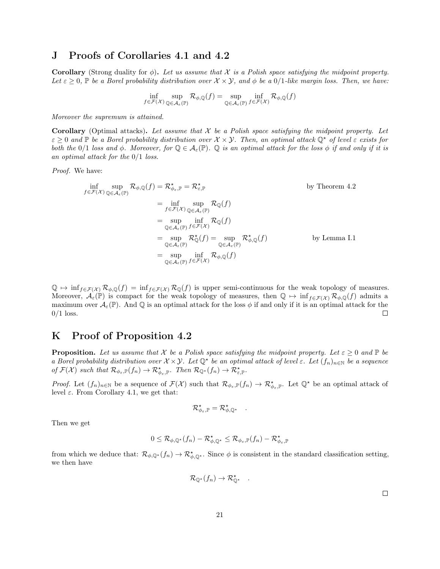### J Proofs of Corollaries 4.1 and 4.2

**Corollary** (Strong duality for  $\phi$ ). Let us assume that X is a Polish space satisfying the midpoint property. Let  $\varepsilon \geq 0$ , P be a Borel probability distribution over  $\mathcal{X} \times \mathcal{Y}$ , and  $\phi$  be a  $0/1$ -like margin loss. Then, we have:

$$
\inf_{f \in \mathcal{F}(\mathcal{X})} \sup_{\mathbb{Q} \in \mathcal{A}_{\varepsilon}(\mathbb{P})} \mathcal{R}_{\phi,\mathbb{Q}}(f) = \sup_{\mathbb{Q} \in \mathcal{A}_{\varepsilon}(\mathbb{P})} \inf_{f \in \mathcal{F}(\mathcal{X})} \mathcal{R}_{\phi,\mathbb{Q}}(f)
$$

Moreover the supremum is attained.

**Corollary** (Optimal attacks). Let assume that  $X$  be a Polish space satisfying the midpoint property. Let  $\varepsilon \geq 0$  and  $\mathbb P$  be a Borel probability distribution over  $\mathcal X \times \mathcal Y$ . Then, an optimal attack  $\mathbb Q^*$  of level  $\varepsilon$  exists for both the 0/1 loss and  $\phi$ . Moreover, for  $\mathbb{Q} \in \mathcal{A}_{\varepsilon}(\mathbb{P})$ .  $\mathbb Q$  is an optimal attack for the loss  $\phi$  if and only if it is an optimal attack for the 0/1 loss.

Proof. We have:

$$
\inf_{f \in \mathcal{F}(\mathcal{X})} \sup_{\mathbb{Q} \in \mathcal{A}_{\varepsilon}(\mathbb{P})} \mathcal{R}_{\phi, \mathbb{Q}}(f) = \mathcal{R}_{\phi_{\varepsilon}, \mathbb{P}}^{\star} = \mathcal{R}_{\varepsilon, \mathbb{P}}^{\star} \qquad \text{by Theorem 4.2}
$$
\n
$$
= \inf_{f \in \mathcal{F}(\mathcal{X})} \sup_{\mathbb{Q} \in \mathcal{A}_{\varepsilon}(\mathbb{P})} \mathcal{R}_{\mathbb{Q}}(f)
$$
\n
$$
= \sup_{\mathbb{Q} \in \mathcal{A}_{\varepsilon}(\mathbb{P})} \inf_{f \in \mathcal{F}(\mathcal{X})} \mathcal{R}_{\mathbb{Q}}(f)
$$
\n
$$
= \sup_{\mathbb{Q} \in \mathcal{A}_{\varepsilon}(\mathbb{P})} \mathcal{R}_{\mathbb{Q}}^{\star}(f) = \sup_{\mathbb{Q} \in \mathcal{A}_{\varepsilon}(\mathbb{P})} \mathcal{R}_{\phi, \mathbb{Q}}^{\star}(f)
$$
\n
$$
= \sup_{\mathbb{Q} \in \mathcal{A}_{\varepsilon}(\mathbb{P})} \inf_{f \in \mathcal{F}(\mathcal{X})} \mathcal{R}_{\phi, \mathbb{Q}}(f)
$$
\n
$$
= \sup_{\mathbb{Q} \in \mathcal{A}_{\varepsilon}(\mathbb{P})} \inf_{f \in \mathcal{F}(\mathcal{X})} \mathcal{R}_{\phi, \mathbb{Q}}(f)
$$
\nby Lemma I.1

 $\mathbb{Q} \mapsto \inf_{f \in \mathcal{F}(\mathcal{X})} \mathcal{R}_{\phi, \mathbb{Q}}(f) = \inf_{f \in \mathcal{F}(\mathcal{X})} \mathcal{R}_{\mathbb{Q}}(f)$  is upper semi-continuous for the weak topology of measures. Moreover,  $\mathcal{A}_{\varepsilon}(\mathbb{P})$  is compact for the weak topology of measures, then  $\mathbb{Q} \mapsto \inf_{f \in \mathcal{F}(\mathcal{X})} \mathcal{R}_{\phi,\mathbb{Q}}(f)$  admits a maximum over  $\mathcal{A}_{\varepsilon}(\mathbb{P})$ . And  $\mathbb Q$  is an optimal attack for the loss  $\phi$  if and only if it is an optimal attack for the  $0/1$  loss.  $\Box$ 

### K Proof of Proposition 4.2

**Proposition.** Let us assume that X be a Polish space satisfying the midpoint property. Let  $\varepsilon \geq 0$  and  $\mathbb{P}$  be a Borel probability distribution over  $\mathcal{X}\times\mathcal{Y}$ . Let  $\mathbb{Q}^*$  be an optimal attack of level  $\varepsilon$ . Let  $(f_n)_{n\in\mathbb{N}}$  be a sequence of  $\mathcal{F}(\mathcal{X})$  such that  $\mathcal{R}_{\phi_{\varepsilon}, \mathbb{P}}(f_n) \to \mathcal{R}_{\phi_{\varepsilon}, \mathbb{P}}^{\star}$ . Then  $\mathcal{R}_{\mathbb{Q}^{\star}}(f_n) \to \mathcal{R}_{\varepsilon, \mathbb{P}}^{\star}$ .

*Proof.* Let  $(f_n)_{n\in\mathbb{N}}$  be a sequence of  $\mathcal{F}(\mathcal{X})$  such that  $\mathcal{R}_{\phi_{\varepsilon},\mathbb{P}}(f_n)\to\mathcal{R}_{\phi_{\varepsilon},\mathbb{P}}^{\star}$ . Let  $\mathbb{Q}^{\star}$  be an optimal attack of level  $ε$ . From Corollary 4.1, we get that:

$$
\mathcal{R}_{\phi_{\varepsilon}, \mathbb{P}}^{\star} = \mathcal{R}_{\phi, \mathbb{Q}^{\star}}^{\star} \quad .
$$

Then we get

$$
0\leq \mathcal{R}_{\phi,\mathbb{Q}^{\star}}(f_n)-\mathcal{R}_{\phi,\mathbb{Q}^{\star}}^{\star}\leq \mathcal{R}_{\phi_{\varepsilon},\mathbb{P}}(f_n)-\mathcal{R}_{\phi_{\varepsilon},\mathbb{P}}^{\star}
$$

from which we deduce that:  $\mathcal{R}_{\phi,\mathbb{Q}^*}(f_n) \to \mathcal{R}_{\phi,\mathbb{Q}^*}^*$ . Since  $\phi$  is consistent in the standard classification setting, we then have

$$
\mathcal{R}_{\mathbb{Q}^{\star}}(f_n) \to \mathcal{R}_{\mathbb{Q}^{\star}}^{\star} \quad .
$$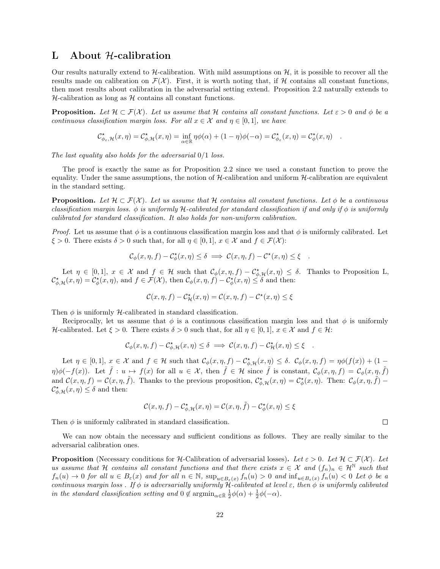## L About H-calibration

Our results naturally extend to  $H$ -calibration. With mild assumptions on  $H$ , it is possible to recover all the results made on calibration on  $\mathcal{F}(\mathcal{X})$ . First, it is worth noting that, if H contains all constant functions, then most results about calibration in the adversarial setting extend. Proposition 2.2 naturally extends to  $H$ -calibration as long as  $H$  contains all constant functions.

**Proposition.** Let  $\mathcal{H} \subset \mathcal{F}(\mathcal{X})$ . Let us assume that H contains all constant functions. Let  $\varepsilon > 0$  and  $\phi$  be a continuous classification margin loss. For all  $x \in \mathcal{X}$  and  $\eta \in [0, 1]$ , we have

$$
\mathcal{C}_{\phi_{\varepsilon},\mathcal{H}}^{\star}(x,\eta)=\mathcal{C}_{\phi,\mathcal{H}}^{\star}(x,\eta)=\inf_{\alpha\in\mathbb{R}}\eta\phi(\alpha)+(1-\eta)\phi(-\alpha)=\mathcal{C}_{\phi_{\varepsilon}}^{\star}(x,\eta)=\mathcal{C}_{\phi}^{\star}(x,\eta)\quad.
$$

The last equality also holds for the adversarial  $0/1$  loss.

The proof is exactly the same as for Proposition 2.2 since we used a constant function to prove the equality. Under the same assumptions, the notion of  $H$ -calibration and uniform  $H$ -calibration are equivalent in the standard setting.

**Proposition.** Let  $\mathcal{H} \subset \mathcal{F}(\mathcal{X})$ . Let us assume that H contains all constant functions. Let  $\phi$  be a continuous classification margin loss.  $\phi$  is uniformly H-calibrated for standard classification if and only if  $\phi$  is uniformly calibrated for standard classification. It also holds for non-uniform calibration.

*Proof.* Let us assume that  $\phi$  is a continuous classification margin loss and that  $\phi$  is uniformly calibrated. Let  $\xi > 0$ . There exists  $\delta > 0$  such that, for all  $\eta \in [0,1], x \in \mathcal{X}$  and  $f \in \mathcal{F}(\mathcal{X})$ :

$$
\mathcal{C}_{\phi}(x,\eta,f) - \mathcal{C}_{\phi}^{\star}(x,\eta) \le \delta \implies \mathcal{C}(x,\eta,f) - \mathcal{C}^{\star}(x,\eta) \le \xi.
$$

Let  $\eta \in [0,1], x \in \mathcal{X}$  and  $f \in \mathcal{H}$  such that  $\mathcal{C}_{\phi}(x,\eta,f) - \mathcal{C}_{\phi,\mathcal{H}}^{\star}(x,\eta) \leq \delta$ . Thanks to Proposition L,  $\mathcal{C}^{\star}_{\phi,\mathcal{H}}(x,\eta) = \mathcal{C}^{\star}_{\phi}(x,\eta)$ , and  $f \in \mathcal{F}(\mathcal{X})$ , then  $\mathcal{C}_{\phi}(x,\eta,f) - \mathcal{C}^{\star}_{\phi}(x,\eta) \leq \delta$  and then:

$$
\mathcal{C}(x,\eta,f)-\mathcal{C}^{\star}_{\mathcal{H}}(x,\eta)=\mathcal{C}(x,\eta,f)-\mathcal{C}^{\star}(x,\eta)\leq\xi
$$

Then  $\phi$  is uniformly H-calibrated in standard classification.

Reciprocally, let us assume that  $\phi$  is a continuous classification margin loss and that  $\phi$  is uniformly H-calibrated. Let  $\xi > 0$ . There exists  $\delta > 0$  such that, for all  $\eta \in [0,1]$ ,  $x \in \mathcal{X}$  and  $f \in \mathcal{H}$ :

$$
\mathcal{C}_{\phi}(x,\eta,f) - \mathcal{C}_{\phi,\mathcal{H}}^{\star}(x,\eta) \le \delta \implies \mathcal{C}(x,\eta,f) - \mathcal{C}_{\mathcal{H}}^{\star}(x,\eta) \le \xi.
$$

Let  $\eta \in [0,1], x \in \mathcal{X}$  and  $f \in \mathcal{H}$  such that  $\mathcal{C}_{\phi}(x,\eta,f) - \mathcal{C}_{\phi,\mathcal{H}}^{\star}(x,\eta) \leq \delta$ .  $\mathcal{C}_{\phi}(x,\eta,f) = \eta \phi(f(x)) + (1 - \delta)$  $\eta\psi(-f(x))$ . Let  $\tilde{f}: u \mapsto f(x)$  for all  $u \in \mathcal{X}$ , then  $\tilde{f} \in \mathcal{H}$  since  $\tilde{f}$  is constant,  $\mathcal{C}_{\phi}(x, \eta, f) = \mathcal{C}_{\phi}(x, \eta, \tilde{f})$ and  $\mathcal{C}(x,\eta,f) = \mathcal{C}(x,\eta,\tilde{f})$ . Thanks to the previous proposition,  $\mathcal{C}_{\phi}^{\star}(\mathcal{X},\eta) = \mathcal{C}_{\phi}^{\star}(x,\eta)$ . Then:  $\mathcal{C}_{\phi}(x,\eta,\tilde{f})$  $\mathcal{C}_{\phi,\mathcal{H}}^{\star}(x,\eta) \leq \delta$  and then:

$$
\mathcal{C}(x,\eta,f) - \mathcal{C}_{\phi,\mathcal{H}}^{\star}(x,\eta) = \mathcal{C}(x,\eta,\tilde{f}) - \mathcal{C}_{\phi}^{\star}(x,\eta) \leq \xi
$$

Then  $\phi$  is uniformly calibrated in standard classification.

We can now obtain the necessary and sufficient conditions as follows. They are really similar to the adversarial calibration ones.

**Proposition** (Necessary conditions for H-Calibration of adversarial losses). Let  $\varepsilon > 0$ . Let  $\mathcal{H} \subset \mathcal{F}(\mathcal{X})$ . Let us assume that H contains all constant functions and that there exists  $x \in \mathcal{X}$  and  $(f_n)_n \in \mathcal{H}^{\mathbb{N}}$  such that  $f_n(u) \to 0$  for all  $u \in B_\varepsilon(x)$  and for all  $n \in \mathbb{N}$ ,  $\sup_{u \in B_\varepsilon(x)} f_n(u) > 0$  and  $\inf_{u \in B_\varepsilon(x)} f_n(u) < 0$  Let  $\phi$  be a continuous margin loss. If  $\phi$  is adversarially uniformly H-calibrated at level  $\varepsilon$ , then  $\phi$  is uniformly calibrated in the standard classification setting and  $0 \notin \operatorname{argmin}_{\alpha \in \bar{\mathbb{R}}} \frac{1}{2}\phi(\alpha) + \frac{1}{2}\phi(-\alpha)$ .